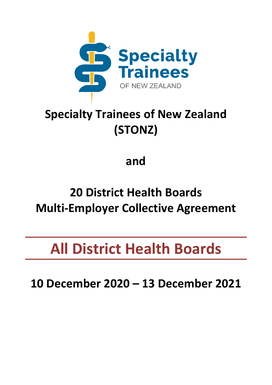

# **Specialty Trainees of New Zealand (STONZ)**

**and**

# **20 District Health Boards Multi-Employer Collective Agreement**

**All District Health Boards**

**10 December 2020 – 13 December 2021**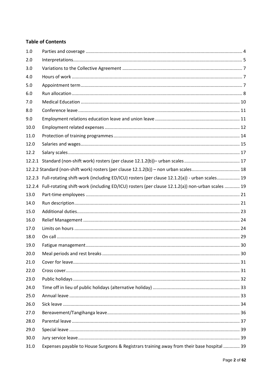# **Table of Contents**

| 1.0  |                                                                                                        |  |
|------|--------------------------------------------------------------------------------------------------------|--|
| 2.0  |                                                                                                        |  |
| 3.0  |                                                                                                        |  |
| 4.0  |                                                                                                        |  |
| 5.0  |                                                                                                        |  |
| 6.0  |                                                                                                        |  |
| 7.0  |                                                                                                        |  |
| 8.0  |                                                                                                        |  |
| 9.0  |                                                                                                        |  |
| 10.0 |                                                                                                        |  |
| 11.0 |                                                                                                        |  |
| 12.0 |                                                                                                        |  |
| 12.2 |                                                                                                        |  |
|      |                                                                                                        |  |
|      |                                                                                                        |  |
|      | 12.2.3 Full-rotating shift-work (including ED/ICU) rosters (per clause 12.1.2(a)) - urban scales 19    |  |
|      | 12.2.4 Full-rotating shift-work (including ED/ICU) rosters (per clause 12.1.2(a)) non-urban scales  19 |  |
| 13.0 |                                                                                                        |  |
| 14.0 |                                                                                                        |  |
| 15.0 |                                                                                                        |  |
| 16.0 |                                                                                                        |  |
| 17.0 |                                                                                                        |  |
| 18.0 |                                                                                                        |  |
| 19.0 |                                                                                                        |  |
| 20.0 |                                                                                                        |  |
| 21.0 |                                                                                                        |  |
| 22.0 |                                                                                                        |  |
| 23.0 |                                                                                                        |  |
| 24.0 |                                                                                                        |  |
| 25.0 |                                                                                                        |  |
| 26.0 |                                                                                                        |  |
| 27.0 |                                                                                                        |  |
| 28.0 |                                                                                                        |  |
| 29.0 |                                                                                                        |  |
| 30.0 |                                                                                                        |  |
| 31.0 | Expenses payable to House Surgeons & Registrars training away from their base hospital  39             |  |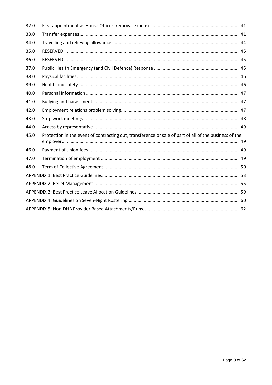| 32.0 |                                                                                                        |  |  |  |  |
|------|--------------------------------------------------------------------------------------------------------|--|--|--|--|
| 33.0 |                                                                                                        |  |  |  |  |
| 34.0 |                                                                                                        |  |  |  |  |
| 35.0 |                                                                                                        |  |  |  |  |
| 36.0 |                                                                                                        |  |  |  |  |
| 37.0 |                                                                                                        |  |  |  |  |
| 38.0 |                                                                                                        |  |  |  |  |
| 39.0 |                                                                                                        |  |  |  |  |
| 40.0 |                                                                                                        |  |  |  |  |
| 41.0 |                                                                                                        |  |  |  |  |
| 42.0 |                                                                                                        |  |  |  |  |
| 43.0 |                                                                                                        |  |  |  |  |
| 44.0 |                                                                                                        |  |  |  |  |
| 45.0 | Protection in the event of contracting out, transference or sale of part of all of the business of the |  |  |  |  |
| 46.0 |                                                                                                        |  |  |  |  |
| 47.0 |                                                                                                        |  |  |  |  |
| 48.0 |                                                                                                        |  |  |  |  |
|      |                                                                                                        |  |  |  |  |
|      |                                                                                                        |  |  |  |  |
|      |                                                                                                        |  |  |  |  |
|      |                                                                                                        |  |  |  |  |
|      |                                                                                                        |  |  |  |  |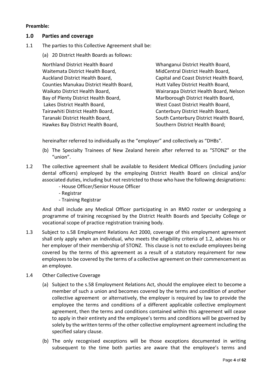#### **Preamble:**

# <span id="page-3-0"></span>**1.0 Parties and coverage**

- 1.1 The parties to this Collective Agreement shall be:
	- (a) 20 District Health Boards as follows:

Northland District Health Board Waitemata District Health Board, Auckland District Health Board, Counties Manukau District Health Board, Waikato District Health Board, Bay of Plenty District Health Board, Lakes District Health Board, Tairawhiti District Health Board, Taranaki District Health Board, Hawkes Bay District Health Board,

Whanganui District Health Board, MidCentral District Health Board, Capital and Coast District Health Board, Hutt Valley District Health Board, Wairarapa District Health Board, Nelson Marlborough District Health Board, West Coast District Health Board, Canterbury District Health Board, South Canterbury District Health Board, Southern District Health Board;

hereinafter referred to individually as the "employer" and collectively as "DHBs".

- (b) The Specialty Trainees of New Zealand herein after referred to as "STONZ" or the "union".
- 1.2 The collective agreement shall be available to Resident Medical Officers (including junior dental officers) employed by the employing District Health Board on clinical and/or associated duties, including but not restricted to those who have the following designations:
	- House Officer/Senior House Officer
	- Registrar
	- Training Registrar

And shall include any Medical Officer participating in an RMO roster or undergoing a programme of training recognised by the District Health Boards and Specialty College or vocational scope of practice registration training body.

- 1.3 Subject to s.58 Employment Relations Act 2000, coverage of this employment agreement shall only apply when an individual, who meets the eligibility criteria of 1.2, advises his or her employer of their membership of STONZ. This clause is not to exclude employees being covered by the terms of this agreement as a result of a statutory requirement for new employees to be covered by the terms of a collective agreement on their commencement as an employee.
- 1.4 Other Collective Coverage
	- (a) Subject to the s.58 Employment Relations Act, should the employee elect to become a member of such a union and becomes covered by the terms and condition of another collective agreement or alternatively, the employer is required by law to provide the employee the terms and conditions of a different applicable collective employment agreement, then the terms and conditions contained within this agreement will cease to apply in their entirety and the employee's terms and conditions will be governed by solely by the written terms of the other collective employment agreement including the specified salary clause.
	- (b) The only recognised exceptions will be those exceptions documented in writing subsequent to the time both parties are aware that the employee's terms and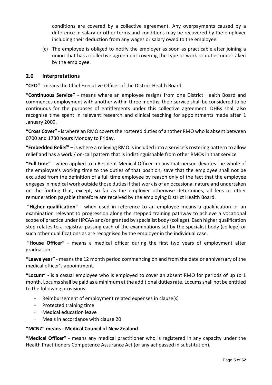conditions are covered by a collective agreement. Any overpayments caused by a difference in salary or other terms and conditions may be recovered by the employer including their deduction from any wages or salary owed to the employee.

(c) The employee is obliged to notify the employer as soon as practicable after joining a union that has a collective agreement covering the type or work or duties undertaken by the employee.

# <span id="page-4-0"></span>**2.0 Interpretations**

**"CEO"** - means the Chief Executive Officer of the District Health Board.

**"Continuous Service"** - means where an employee resigns from one District Health Board and commences employment with another within three months, their service shall be considered to be continuous for the purposes of entitlements under this collective agreement. DHBs shall also recognise time spent in relevant research and clinical teaching for appointments made after 1 January 2009.

**"Cross Cover"** - is where an RMO covers the rostered duties of another RMO who is absent between 0700 and 1730 hours Monday to Friday.

**"Embedded Relief"** – is where a relieving RMO is included into a service's rostering pattern to allow relief and has a work / on-call pattern that is indistinguishable from other RMOs in that service

**"Full time"** - when applied to a Resident Medical Officer means that person devotes the whole of the employee's working time to the duties of that position, save that the employee shall not be excluded from the definition of a full time employee by reason only of the fact that the employee engages in medical work outside those duties if that work is of an occasional nature and undertaken on the footing that, except, so far as the employer otherwise determines, all fees or other remuneration payable therefore are received by the employing District Health Board.

**"Higher qualification"** - when used in reference to an employee means a qualification or an examination relevant to progression along the stepped training pathway to achieve a vocational scope of practice under HPCAA and/or granted by specialist body (college). Each higher qualification step relates to a registrar passing each of the examinations set by the specialist body (college) or such other qualifications as are recognised by the employer in the individual case.

**"House Officer"** - means a medical officer during the first two years of employment after graduation.

**"Leave year"** - means the 12 month period commencing on and from the date or anniversary of the medical officer's appointment.

**"Locum"** - is a casual employee who is employed to cover an absent RMO for periods of up to 1 month. Locums shall be paid as a minimum at the additional duties rate. Locums shall not be entitled to the following provisions:

- Reimbursement of employment related expenses in clause(s)
- Protected training time
- Medical education leave
- Meals in accordance with clause 20

#### **"MCNZ" means - Medical Council of New Zealand**

**"Medical Officer"** - means any medical practitioner who is registered in any capacity under the Health Practitioners Competence Assurance Act (or any act passed in substitution).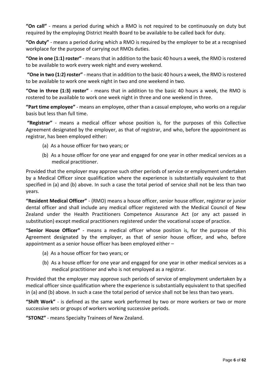**"On call"** - means a period during which a RMO is not required to be continuously on duty but required by the employing District Health Board to be available to be called back for duty.

**"On duty"** - means a period during which a RMO is required by the employer to be at a recognised workplace for the purpose of carrying out RMOs duties.

**"One in one (1:1) roster"** - means that in addition to the basic 40 hours a week, the RMO is rostered to be available to work every week night and every weekend.

**"One in two (1:2) roster"** - means that in addition to the basic 40 hours a week, the RMO is rostered to be available to work one week night in two and one weekend in two.

**"One in three (1:3) roster"** - means that in addition to the basic 40 hours a week, the RMO is rostered to be available to work one week night in three and one weekend in three.

**"Part time employee"** - means an employee, other than a casual employee, who works on a regular basis but less than full time.

**"Registrar"** - means a medical officer whose position is, for the purposes of this Collective Agreement designated by the employer, as that of registrar, and who, before the appointment as registrar, has been employed either:

- (a) As a house officer for two years; or
- (b) As a house officer for one year and engaged for one year in other medical services as a medical practitioner.

Provided that the employer may approve such other periods of service or employment undertaken by a Medical Officer since qualification where the experience is substantially equivalent to that specified in (a) and (b) above. In such a case the total period of service shall not be less than two years.

**"Resident Medical Officer"** - (RMO) means a house officer, senior house officer, registrar or junior dental officer and shall include any medical officer registered with the Medical Council of New Zealand under the Health Practitioners Competence Assurance Act (or any act passed in substitution) except medical practitioners registered under the vocational scope of practice.

**"Senior House Officer"** - means a medical officer whose position is, for the purpose of this Agreement designated by the employer, as that of senior house officer, and who, before appointment as a senior house officer has been employed either –

- (a) As a house officer for two years; or
- (b) As a house officer for one year and engaged for one year in other medical services as a medical practitioner and who is not employed as a registrar.

Provided that the employer may approve such periods of service of employment undertaken by a medical officer since qualification where the experience is substantially equivalent to that specified in (a) and (b) above. In such a case the total period of service shall not be less than two years.

**"Shift Work"** - is defined as the same work performed by two or more workers or two or more successive sets or groups of workers working successive periods.

**"STONZ"** - means Specialty Trainees of New Zealand.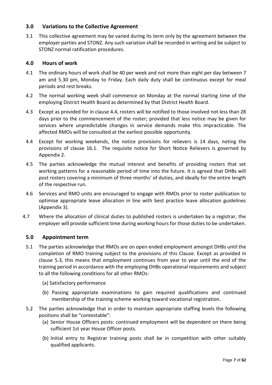# <span id="page-6-0"></span>**3.0 Variations to the Collective Agreement**

3.1 This collective agreement may be varied during its term only by the agreement between the employer parties and STONZ. Any such variation shall be recorded in writing and be subject to STONZ normal ratification procedures.

# <span id="page-6-1"></span>**4.0 Hours of work**

- 4.1 The ordinary hours of work shall be 40 per week and not more than eight per day between 7 am and 5.30 pm, Monday to Friday. Each daily duty shall be continuous except for meal periods and rest breaks.
- 4.2 The normal working week shall commence on Monday at the normal starting time of the employing District Health Board as determined by that District Health Board.
- 4.3 Except as provided for in clause 4.4, rosters will be notified to those involved not less than 28 days prior to the commencement of the roster; provided that less notice may be given for services where unpredictable changes in service demands make this impracticable. The affected RMOs will be consulted at the earliest possible opportunity.
- 4.4 Except for working weekends, the notice provisions for relievers is 14 days, noting the provisions of clause 16.1. The requisite notice for Short Notice Relievers is governed by Appendix 2.
- 4.5 The parties acknowledge the mutual interest and benefits of providing rosters that set working patterns for a reasonable period of time into the future. It is agreed that DHBs will post rosters covering a minimum of three months' of duties, and ideally for the entire length of the respective run.
- 4.6 Services and RMO units are encouraged to engage with RMOs prior to roster publication to optimise appropriate leave allocation in line with best practice leave allocation guidelines (Appendix 3).
- 4.7 Where the allocation of clinical duties to published rosters is undertaken by a registrar, the employer will provide sufficient time during working hours for those duties to be undertaken.

# <span id="page-6-2"></span>**5.0 Appointment term**

- 5.1 The parties acknowledge that RMOs are on open ended employment amongst DHBs until the completion of RMO training subject to the provisions of this Clause. Except as provided in clause 5.3, this means that employment continues from year to year until the end of the training period in accordance with the employing DHBs operational requirements and subject to all the following conditions for all other RMOs:
	- (a) Satisfactory performance
	- (b) Passing appropriate examinations to gain required qualifications and continued membership of the training scheme working toward vocational registration.
- 5.2 The parties acknowledge that in order to maintain appropriate staffing levels the following positions shall be "contestable":
	- (a) Senior House Officers posts: continued employment will be dependent on there being sufficient 1st year House Officer posts.
	- (b) Initial entry to Registrar training posts shall be in competition with other suitably qualified applicants.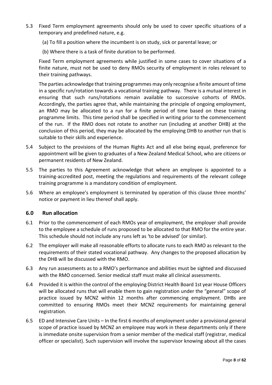- 5.3 Fixed Term employment agreements should only be used to cover specific situations of a temporary and predefined nature, e.g.
	- (a) To fill a position where the incumbent is on study, sick or parental leave; or
	- (b) Where there is a task of finite duration to be performed.

Fixed Term employment agreements while justified in some cases to cover situations of a finite nature, must not be used to deny RMOs security of employment in roles relevant to their training pathways.

The parties acknowledge that training programmes may only recognise a finite amount of time in a specific run/rotation towards a vocational training pathway. There is a mutual interest in ensuring that such runs/rotations remain available to successive cohorts of RMOs. Accordingly, the parties agree that, while maintaining the principle of ongoing employment, an RMO may be allocated to a run for a finite period of time based on these training programme limits. This time period shall be specified in writing prior to the commencement of the run. If the RMO does not rotate to another run (including at another DHB) at the conclusion of this period, they may be allocated by the employing DHB to another run that is suitable to their skills and experience.

- 5.4 Subject to the provisions of the Human Rights Act and all else being equal, preference for appointment will be given to graduates of a New Zealand Medical School, who are citizens or permanent residents of New Zealand.
- 5.5 The parties to this Agreement acknowledge that where an employee is appointed to a training-accredited post, meeting the regulations and requirements of the relevant college training programme is a mandatory condition of employment.
- 5.6 Where an employee's employment is terminated by operation of this clause three months' notice or payment in lieu thereof shall apply.

#### <span id="page-7-0"></span>**6.0 Run allocation**

- 6.1 Prior to the commencement of each RMOs year of employment, the employer shall provide to the employee a schedule of runs proposed to be allocated to that RMO for the entire year. This schedule should not include any runs left as 'to be advised' (or similar).
- 6.2 The employer will make all reasonable efforts to allocate runs to each RMO as relevant to the requirements of their stated vocational pathway. Any changes to the proposed allocation by the DHB will be discussed with the RMO.
- 6.3 Any run assessments as to a RMO's performance and abilities must be sighted and discussed with the RMO concerned. Senior medical staff must make all clinical assessments.
- 6.4 Provided it is within the control of the employing District Health Board 1st year House Officers will be allocated runs that will enable them to gain registration under the "general" scope of practice issued by MCNZ within 12 months after commencing employment. DHBs are committed to ensuring RMOs meet their MCNZ requirements for maintaining general registration.
- 6.5 ED and Intensive Care Units In the first 6 months of employment under a provisional general scope of practice issued by MCNZ an employee may work in these departments only if there is immediate onsite supervision from a senior member of the medical staff (registrar, medical officer or specialist). Such supervision will involve the supervisor knowing about all the cases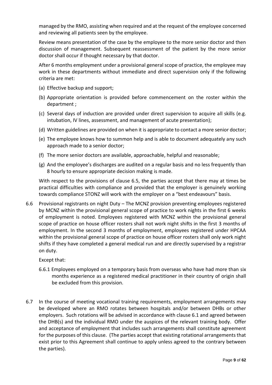managed by the RMO, assisting when required and at the request of the employee concerned and reviewing all patients seen by the employee.

Review means presentation of the case by the employee to the more senior doctor and then discussion of management. Subsequent reassessment of the patient by the more senior doctor shall occur if thought necessary by that doctor.

After 6 months employment under a provisional general scope of practice, the employee may work in these departments without immediate and direct supervision only if the following criteria are met:

- (a) Effective backup and support;
- (b) Appropriate orientation is provided before commencement on the roster within the department ;
- (c) Several days of induction are provided under direct supervision to acquire all skills (e.g. intubation, IV lines, assessment, and management of acute presentation);
- (d) Written guidelines are provided on when it is appropriate to contact a more senior doctor;
- (e) The employee knows how to summon help and is able to document adequately any such approach made to a senior doctor;
- (f) The more senior doctors are available, approachable, helpful and reasonable;
- (g) And the employee's discharges are audited on a regular basis and no less frequently than 8 hourly to ensure appropriate decision making is made.

With respect to the provisions of clause 6.5, the parties accept that there may at times be practical difficulties with compliance and provided that the employer is genuinely working towards compliance STONZ will work with the employer on a "best endeavours" basis.

6.6 Provisional registrants on night Duty – The MCNZ provision preventing employees registered by MCNZ within the provisional general scope of practice to work nights in the first 6 weeks of employment is noted. Employees registered with MCNZ within the provisional general scope of practice on house officer rosters shall not work night shifts in the first 3 months of employment. In the second 3 months of employment, employees registered under HPCAA within the provisional general scope of practice on house officer rosters shall only work night shifts if they have completed a general medical run and are directly supervised by a registrar on duty.

Except that:

- 6.6.1 Employees employed on a temporary basis from overseas who have had more than six months experience as a registered medical practitioner in their country of origin shall be excluded from this provision.
- 6.7 In the course of meeting vocational training requirements, employment arrangements may be developed where an RMO rotates between hospitals and/or between DHBs or other employers. Such rotations will be advised in accordance with clause 6.1 and agreed between the DHB(s) and the individual RMO under the auspices of the relevant training body. Offer and acceptance of employment that includes such arrangements shall constitute agreement for the purposes of this clause. (The parties accept that existing rotational arrangements that exist prior to this Agreement shall continue to apply unless agreed to the contrary between the parties).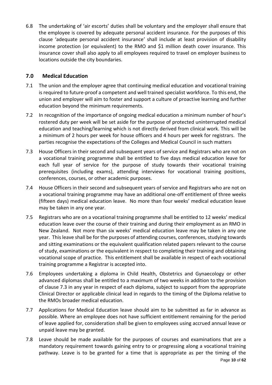6.8 The undertaking of 'air escorts' duties shall be voluntary and the employer shall ensure that the employee is covered by adequate personal accident insurance. For the purposes of this clause 'adequate personal accident insurance' shall include at least provision of disability income protection (or equivalent) to the RMO and \$1 million death cover insurance. This insurance cover shall also apply to all employees required to travel on employer business to locations outside the city boundaries.

# <span id="page-9-0"></span>**7.0 Medical Education**

- 7.1 The union and the employer agree that continuing medical education and vocational training is required to future-proof a competent and well trained specialist workforce. To this end, the union and employer will aim to foster and support a culture of proactive learning and further education beyond the minimum requirements.
- 7.2 In recognition of the importance of ongoing medical education a minimum number of hour's rostered duty per week will be set aside for the purpose of protected uninterrupted medical education and teaching/learning which is not directly derived from clinical work. This will be a minimum of 2 hours per week for house officers and 4 hours per week for registrars. The parties recognise the expectations of the Colleges and Medical Council in such matters
- 7.3 House Officers in their second and subsequent years of service and Registrars who are not on a vocational training programme shall be entitled to five days medical education leave for each full year of service for the purpose of study towards their vocational training prerequisites (including exams), attending interviews for vocational training positions, conferences, courses, or other academic purposes.
- 7.4 House Officers in their second and subsequent years of service and Registrars who are not on a vocational training programme may have an additional one-off entitlement of three weeks (fifteen days) medical education leave. No more than four weeks' medical education leave may be taken in any one year.
- 7.5 Registrars who are on a vocational training programme shall be entitled to 12 weeks' medical education leave over the course of their training and during their employment as an RMO in New Zealand. Not more than six weeks' medical education leave may be taken in any one year. This leave shall be for the purposes of attending courses, conferences, studying towards and sitting examinations or the equivalent qualification related papers relevant to the course of study, examinations or the equivalent in respect to completing their training and obtaining vocational scope of practice. This entitlement shall be available in respect of each vocational training programme a Registrar is accepted into.
- 7.6 Employees undertaking a diploma in Child Health, Obstetrics and Gynaecology or other advanced diplomas shall be entitled to a maximum of two weeks in addition to the provision of clause 7.3 in any year in respect of each diploma, subject to support from the appropriate Clinical Director or applicable clinical lead in regards to the timing of the Diploma relative to the RMOs broader medical education.
- 7.7 Applications for Medical Education leave should aim to be submitted as far in advance as possible. Where an employee does not have sufficient entitlement remaining for the period of leave applied for, consideration shall be given to employees using accrued annual leave or unpaid leave may be granted.
- 7.8 Leave should be made available for the purposes of courses and examinations that are a mandatory requirement towards gaining entry to or progressing along a vocational training pathway. Leave is to be granted for a time that is appropriate as per the timing of the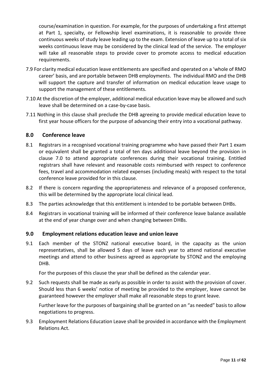course/examination in question. For example, for the purposes of undertaking a first attempt at Part 1, specialty, or Fellowship level examinations, it is reasonable to provide three continuous weeks of study leave leading up to the exam. Extension of leave up to a total of six weeks continuous leave may be considered by the clinical lead of the service. The employer will take all reasonable steps to provide cover to promote access to medical education requirements.

- 7.9 For clarity medical education leave entitlements are specified and operated on a 'whole of RMO career' basis, and are portable between DHB employments. The individual RMO and the DHB will support the capture and transfer of information on medical education leave usage to support the management of these entitlements.
- 7.10 At the discretion of the employer, additional medical education leave may be allowed and such leave shall be determined on a case-by-case basis.
- 7.11 Nothing in this clause shall preclude the DHB agreeing to provide medical education leave to first year house officers for the purpose of advancing their entry into a vocational pathway.

# <span id="page-10-0"></span>**8.0 Conference leave**

- 8.1 Registrars in a recognised vocational training programme who have passed their Part 1 exam or equivalent shall be granted a total of ten days additional leave beyond the provision in clause 7.0 to attend appropriate conferences during their vocational training. Entitled registrars shall have relevant and reasonable costs reimbursed with respect to conference fees, travel and accommodation related expenses (including meals) with respect to the total conference leave provided for in this clause.
- 8.2 If there is concern regarding the appropriateness and relevance of a proposed conference, this will be determined by the appropriate local clinical lead.
- 8.3 The parties acknowledge that this entitlement is intended to be portable between DHBs.
- 8.4 Registrars in vocational training will be informed of their conference leave balance available at the end of year change over and when changing between DHBs.

#### <span id="page-10-1"></span>**9.0 Employment relations education leave and union leave**

9.1 Each member of the STONZ national executive board, in the capacity as the union representatives, shall be allowed 5 days of leave each year to attend national executive meetings and attend to other business agreed as appropriate by STONZ and the employing DHB.

For the purposes of this clause the year shall be defined as the calendar year.

9.2 Such requests shall be made as early as possible in order to assist with the provision of cover. Should less than 6 weeks' notice of meeting be provided to the employer, leave cannot be guaranteed however the employer shall make all reasonable steps to grant leave.

Further leave for the purposes of bargaining shall be granted on an "as needed" basis to allow negotiations to progress.

<span id="page-10-2"></span>9.3 Employment Relations Education Leave shall be provided in accordance with the Employment Relations Act.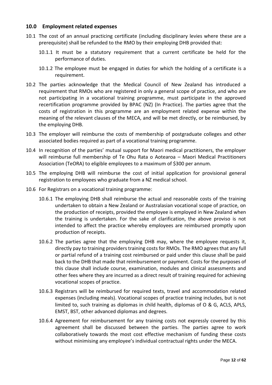#### **10.0 Employment related expenses**

- 10.1 The cost of an annual practicing certificate (including disciplinary levies where these are a prerequisite) shall be refunded to the RMO by their employing DHB provided that:
	- 10.1.1 It must be a statutory requirement that a current certificate be held for the performance of duties.
	- 10.1.2 The employee must be engaged in duties for which the holding of a certificate is a requirement.
- 10.2 The parties acknowledge that the Medical Council of New Zealand has introduced a requirement that RMOs who are registered in only a general scope of practice, and who are not participating in a vocational training programme, must participate in the approved recertification programme provided by BPAC (NZ) (In Practice). The parties agree that the costs of registration in this programme are an employment related expense within the meaning of the relevant clauses of the MECA, and will be met directly, or be reimbursed, by the employing DHB.
- 10.3 The employer will reimburse the costs of membership of postgraduate colleges and other associated bodies required as part of a vocational training programme.
- 10.4 In recognition of the parties' mutual support for Maori medical practitioners, the employer will reimburse full membership of Te Ohu Rata o Aotearoa – Maori Medical Practitioners Association (TeORA) to eligible employees to a maximum of \$300 per annum.
- 10.5 The employing DHB will reimburse the cost of initial application for provisional general registration to employees who graduate from a NZ medical school.
- 10.6 For Registrars on a vocational training programme:
	- 10.6.1 The employing DHB shall reimburse the actual and reasonable costs of the training undertaken to obtain a New Zealand or Australasian vocational scope of practice, on the production of receipts, provided the employee is employed in New Zealand when the training is undertaken. For the sake of clarification, the above proviso is not intended to affect the practice whereby employees are reimbursed promptly upon production of receipts.
	- 10.6.2 The parties agree that the employing DHB may, where the employee requests it, directly pay to training providers training costs for RMOs. The RMO agrees that any full or partial refund of a training cost reimbursed or paid under this clause shall be paid back to the DHB that made that reimbursement or payment. Costs for the purposes of this clause shall include course, examination, modules and clinical assessments and other fees where they are incurred as a direct result of training required for achieving vocational scopes of practice.
	- 10.6.3 Registrars will be reimbursed for required texts, travel and accommodation related expenses (including meals). Vocational scopes of practice training includes, but is not limited to, such training as diplomas in child health, diplomas of O & G, ACLS, APLS, EMST, BST, other advanced diplomas and degrees.
	- 10.6.4 Agreement for reimbursement for any training costs not expressly covered by this agreement shall be discussed between the parties. The parties agree to work collaboratively towards the most cost effective mechanism of funding these costs without minimising any employee's individual contractual rights under the MECA.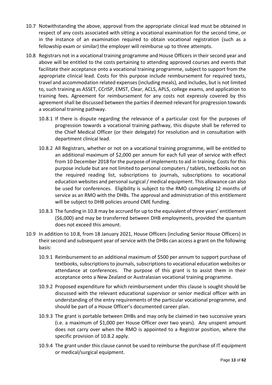- 10.7 Notwithstanding the above, approval from the appropriate clinical lead must be obtained in respect of any costs associated with sitting a vocational examination for the second time, or in the instance of an examination required to obtain vocational registration (such as a fellowship exam or similar) the employer will reimburse up to three attempts.
- 10.8 Registrars not in a vocational training programme and House Officers in their second year and above will be entitled to the costs pertaining to attending approved courses and events that facilitate their acceptance onto a vocational training programme, subject to support from the appropriate clinical lead. Costs for this purpose include reimbursement for required texts, travel and accommodation related expenses (including meals), and includes, but is not limited to, such training as ASSET, CCrISP, EMST, Clear, ACLS, APLS, college exams, and application to training fees. Agreement for reimbursement for any costs not expressly covered by this agreement shall be discussed between the parties if deemed relevant for progression towards a vocational training pathway.
	- 10.8.1 If there is dispute regarding the relevance of a particular cost for the purposes of progression towards a vocational training pathway, this dispute shall be referred to the Chief Medical Officer (or their delegate) for resolution and in consultation with department clinical lead.
	- 10.8.2 All Registrars, whether or not on a vocational training programme, will be entitled to an additional maximum of \$2,000 per annum for each full year of service with effect from 10 December 2018 for the purpose of implements to aid in training. Costs for this purpose include but are not limited to personal computers / tablets, textbooks not on the required reading list, subscriptions to journals, subscriptions to vocational education websites and personal surgical / medical equipment. This allowance can also be used for conferences. Eligibility is subject to the RMO completing 12 months of service as an RMO with the DHBs. The approval and administration of this entitlement will be subject to DHB policies around CME funding.
	- 10.8.3 The funding in 10.8 may be accrued for up to the equivalent of three years' entitlement (\$6,000) and may be transferred between DHB employments, provided the quantum does not exceed this amount.
- 10.9 In addition to 10.8, from 18 January 2021, House Officers (including Senior House Officers) in their second and subsequent year of service with the DHBs can access a grant on the following basis:
	- 10.9.1 Reimbursement to an additional maximum of \$500 per annum to support purchase of textbooks, subscriptions to journals, subscriptions to vocational education websites or attendance at conferences. The purpose of this grant is to assist them in their acceptance onto a New Zealand or Australasian vocational training programme.
	- 10.9.2 Proposed expenditure for which reimbursement under this clause is sought should be discussed with the relevant educational supervisor or senior medical officer with an understanding of the entry requirements of the particular vocational programme, and should be part of a House Officer's documented career plan.
	- 10.9.3 The grant is portable between DHBs and may only be claimed in two successive years (i.e. a maximum of \$1,000 per House Officer over two years). Any unspent amount does not carry over when the RMO is appointed to a Registrar position, where the specific provision of 10.8.2 apply.
	- 10.9.4 The grant under this clause cannot be used to reimburse the purchase of IT equipment or medical/surgical equipment.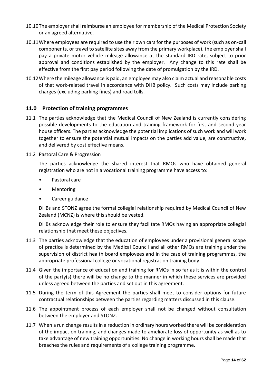- 10.10The employer shall reimburse an employee for membership of the Medical Protection Society or an agreed alternative.
- 10.11Where employees are required to use their own cars for the purposes of work (such as on-call components, or travel to satellite sites away from the primary workplace), the employer shall pay a private motor vehicle mileage allowance at the standard IRD rate, subject to prior approval and conditions established by the employer. Any change to this rate shall be effective from the first pay period following the date of promulgation by the IRD.
- 10.12Where the mileage allowance is paid, an employee may also claim actual and reasonable costs of that work-related travel in accordance with DHB policy. Such costs may include parking charges (excluding parking fines) and road tolls.

# <span id="page-13-0"></span>**11.0 Protection of training programmes**

- 11.1 The parties acknowledge that the Medical Council of New Zealand is currently considering possible developments to the education and training framework for first and second year house officers. The parties acknowledge the potential implications of such work and will work together to ensure the potential mutual impacts on the parties add value, are constructive, and delivered by cost effective means.
- 11.2 Pastoral Care & Progression

The parties acknowledge the shared interest that RMOs who have obtained general registration who are not in a vocational training programme have access to:

- Pastoral care
- Mentoring
- Career guidance

DHBs and STONZ agree the formal collegial relationship required by Medical Council of New Zealand (MCNZ) is where this should be vested.

DHBs acknowledge their role to ensure they facilitate RMOs having an appropriate collegial relationship that meet these objectives.

- 11.3 The parties acknowledge that the education of employees under a provisional general scope of practice is determined by the Medical Council and all other RMOs are training under the supervision of district health board employees and in the case of training programmes, the appropriate professional college or vocational registration training body.
- 11.4 Given the importance of education and training for RMOs in so far as it is within the control of the party(s) there will be no change to the manner in which these services are provided unless agreed between the parties and set out in this agreement.
- 11.5 During the term of this Agreement the parties shall meet to consider options for future contractual relationships between the parties regarding matters discussed in this clause.
- 11.6 The appointment process of each employer shall not be changed without consultation between the employer and STONZ.
- 11.7 When a run change results in a reduction in ordinary hours worked there will be consideration of the impact on training, and changes made to ameliorate loss of opportunity as well as to take advantage of new training opportunities. No change in working hours shall be made that breaches the rules and requirements of a college training programme.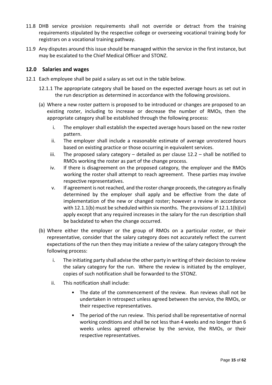- 11.8 DHB service provision requirements shall not override or detract from the training requirements stipulated by the respective college or overseeing vocational training body for registrars on a vocational training pathway.
- 11.9 Any disputes around this issue should be managed within the service in the first instance, but may be escalated to the Chief Medical Officer and STONZ.

# <span id="page-14-0"></span>**12.0 Salaries and wages**

- 12.1 Each employee shall be paid a salary as set out in the table below.
	- 12.1.1 The appropriate category shall be based on the expected average hours as set out in the run description as determined in accordance with the following provisions.
	- (a) Where a new roster pattern is proposed to be introduced or changes are proposed to an existing roster, including to increase or decrease the number of RMOs, then the appropriate category shall be established through the following process:
		- i. The employer shall establish the expected average hours based on the new roster pattern.
		- ii. The employer shall include a reasonable estimate of average unrostered hours based on existing practice or those occurring in equivalent services.
		- iii. The proposed salary category  $-$  detailed as per clause 12.2  $-$  shall be notified to RMOs working the roster as part of the change process.
		- iv. If there is disagreement on the proposed category, the employer and the RMOs working the roster shall attempt to reach agreement. These parties may involve respective representatives.
		- v. If agreement is not reached, and the roster change proceeds, the category as finally determined by the employer shall apply and be effective from the date of implementation of the new or changed roster; however a review in accordance with 12.1.1(b) must be scheduled within six months. The provisions of 12.1.1(b)(vi) apply except that any required increases in the salary for the run description shall be backdated to when the change occurred.
	- (b) Where either the employer or the group of RMOs on a particular roster, or their representative, consider that the salary category does not accurately reflect the current expectations of the run then they may initiate a review of the salary category through the following process:
		- i. The initiating party shall advise the other party in writing of their decision to review the salary category for the run. Where the review is initiated by the employer, copies of such notification shall be forwarded to the STONZ.
		- ii. This notification shall include:
			- The date of the commencement of the review. Run reviews shall not be undertaken in retrospect unless agreed between the service, the RMOs, or their respective representatives.
			- The period of the run review. This period shall be representative of normal working conditions and shall be not less than 4 weeks and no longer than 6 weeks unless agreed otherwise by the service, the RMOs, or their respective representatives.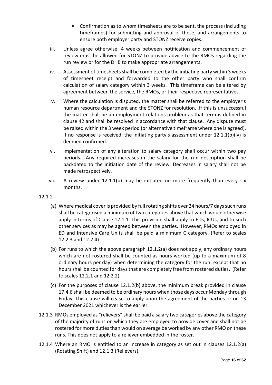- Confirmation as to whom timesheets are to be sent, the process (including timeframes) for submitting and approval of these, and arrangements to ensure both employer party and STONZ receive copies.
- iii. Unless agree otherwise, 4 weeks between notification and commencement of review must be allowed for STONZ to provide advice to the RMOs regarding the run review or for the DHB to make appropriate arrangements.
- iv. Assessment of timesheets shall be completed by the initiating party within 3 weeks of timesheet receipt and forwarded to the other party who shall confirm calculation of salary category within 3 weeks. This timeframe can be altered by agreement between the service, the RMOs, or their respective representatives.
- v. Where the calculation is disputed, the matter shall be referred to the employer's human resource department and the STONZ for resolution. If this is unsuccessful the matter shall be an employment relations problem as that term is defined in clause 42 and shall be resolved in accordance with that clause. Any dispute must be raised within the 3 week period (or alternative timeframe where one is agreed). If no response is received, the initiating party's assessment under  $12.1.1(b)(iv)$  is deemed confirmed.
- vi. Implementation of any alteration to salary category shall occur within two pay periods. Any required increases in the salary for the run description shall be backdated to the initiation date of the review. Decreases in salary shall not be made retrospectively.
- vii. A review under 12.1.1(b) may be initiated no more frequently than every six months.

# 12.1.2

- (a) Where medical cover is provided by full rotating shifts over 24 hours/7 days such runs shall be categorised a minimum of two categories above that which would otherwise apply in terms of Clause 12.1.1. This provision shall apply to EDs, ICUs, and to such other services as may be agreed between the parties. However, RMOs employed in ED and Intensive Care Units shall be paid a minimum C category. (Refer to scales 12.2.3 and 12.2.4)
- (b) For runs to which the above paragraph 12.1.2(a) does not apply, any ordinary hours which are not rostered shall be counted as hours worked (up to a maximum of 8 ordinary hours per day) when determining the category for the run, except that no hours shall be counted for days that are completely free from rostered duties. (Refer to scales 12.2.1 and 12.2.2)
- (c) For the purposes of clause 12.1.2(b) above, the minimum break provided in clause 17.4.6 shall be deemed to be ordinary hours when those days occur Monday through Friday. This clause will cease to apply upon the agreement of the parties or on 13 December 2021 whichever is the earlier.
- 12.1.3 RMOs employed as "relievers" shall be paid a salary two categories above the category of the majority of runs on which they are employed to provide cover and shall not be rostered for more duties than would on average be worked by any other RMO on these runs. This does not apply to a reliever embedded in the roster.
- 12.1.4 Where an RMO is entitled to an increase in category as set out in clauses 12.1.2(a) (Rotating Shift) and 12.1.3 (Relievers).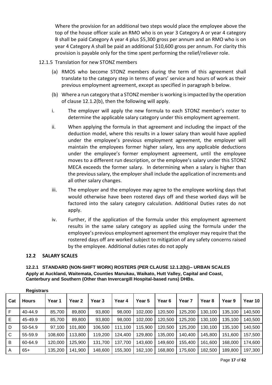Where the provision for an additional two steps would place the employee above the top of the house officer scale an RMO who is on year 3 Category A or year 4 category B shall be paid Category A year 4 plus \$5,300 gross per annum and an RMO who is on year 4 Category A shall be paid an additional \$10,600 gross per annum. For clarity this provision is payable only for the time spent performing the relief/reliever role.

- 12.1.5 Translation for new STONZ members
	- (a) RMOS who become STONZ members during the term of this agreement shall translate to the category step in terms of years' service and hours of work as their previous employment agreement, except as specified in paragraph b below.
	- (b) Where a run category that a STONZ member is working is impacted by the operation of clause 12.1.2(b), then the following will apply.
	- i. The employer will apply the new formula to each STONZ member's roster to determine the applicable salary category under this employment agreement.
	- ii. When applying the formula in that agreement and including the impact of the deduction model, where this results in a lower salary than would have applied under the employee's previous employment agreement, the employer will maintain the employees former higher salary, less any applicable deductions under the employee's former employment agreement, until the employee moves to a different run description, or the employee's salary under this STONZ MECA exceeds the former salary. In determining when a salary is higher than the previous salary, the employer shall include the application of increments and all other salary changes.
	- iii. The employer and the employee may agree to the employee working days that would otherwise have been rostered days off and these worked days will be factored into the salary category calculation. Additional Duties rates do not apply.
	- iv. Further, if the application of the formula under this employment agreement results in the same salary category as applied using the formula under the employee's previous employment agreement the employer may require that the rostered days off are worked subject to mitigation of any safety concerns raised by the employee. Additional duties rates do not apply

#### <span id="page-16-0"></span>**12.2 SALARY SCALES**

<span id="page-16-1"></span>**12.2.1 STANDARD (NON-SHIFT WORK) ROSTERS (PER CLAUSE 12.1.2(b))– URBAN SCALES Apply at Auckland, Waitemata, Counties Manukau, Waikato, Hutt Valley, Capital and Coast, Canterbury and Southern (Other than Invercargill Hospital-based runs) DHBs.**

| Cat | <b>Hours</b> | Year 1  | Year 2  | Year 3  | Year 4  | Year 5  | Year 6  | Year <sub>7</sub> | Year 8  | Year 9  | Year 10 |
|-----|--------------|---------|---------|---------|---------|---------|---------|-------------------|---------|---------|---------|
| F   | 40-44.9      | 85,700  | 89,800  | 93,800  | 98,000  | 102,000 | 120,500 | 125,200           | 130,100 | 135,100 | 140,500 |
| Е   | 45-49.9      | 85,700  | 89,800  | 93,800  | 98,000  | 102,000 | 120,500 | 125,200           | 130,100 | 135,100 | 140,500 |
| D   | 50-54.9      | 97,100  | 101,800 | 106,500 | 111,100 | 15,900  | 120,500 | 125,200           | 130,100 | 135,100 | 140,500 |
| C   | 55-59.9      | 108,600 | 113,800 | 119,200 | 124,400 | 129,800 | 135,000 | 140,400           | 145,800 | 151,600 | 157,500 |
| B   | 60-64.9      | 120,000 | 125,900 | 131,700 | 137,700 | 143,600 | 149,600 | 155,400           | 161,600 | 168,000 | 174,600 |
| A   | $65+$        | 135,200 | 141,900 | 148,600 | 155,300 | 162,100 | 168,800 | 175,600           | 182,500 | 189,800 | 197,300 |

**Registrars**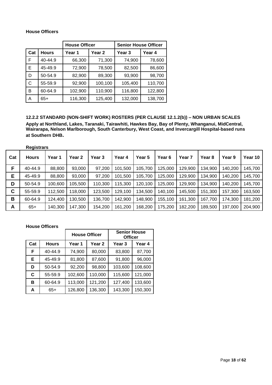#### **House Officers**

|     |              | <b>House Officer</b> |         | <b>Senior House Officer</b> |         |  |
|-----|--------------|----------------------|---------|-----------------------------|---------|--|
| Cat | <b>Hours</b> | Year 1               | Year 2  | Year 3                      | Year 4  |  |
| F   | 40-44.9      | 66,300               | 71,300  | 74,900                      | 78,600  |  |
| Е   | 45-49.9      | 72,900               | 78,500  | 82,500                      | 86,600  |  |
| D   | 50-54.9      | 82,900               | 89,300  | 93,900                      | 98,700  |  |
| С   | 55-59.9      | 92,900               | 100,100 | 105,400                     | 110,700 |  |
| в   | 60-64.9      | 102,900              | 110,900 | 116,800                     | 122,800 |  |
| Α   | $65+$        | 116,300              | 125,400 | 132,000                     | 138,700 |  |

<span id="page-17-0"></span>**12.2.2 STANDARD (NON-SHIFT WORK) ROSTERS (PER CLAUSE 12.1.2(b)) – NON URBAN SCALES Apply at Northland, Lakes, Taranaki, Tairawhiti, Hawkes Bay, Bay of Plenty, Whanganui, MidCentral, Wairarapa, Nelson Marlborough, South Canterbury, West Coast, and Invercargill Hospital-based runs at Southern DHB.**

|     | <b>Registrars</b> |         |         |         |         |         |         |                   |         |         |         |
|-----|-------------------|---------|---------|---------|---------|---------|---------|-------------------|---------|---------|---------|
| Cat | <b>Hours</b>      | Year 1  | Year 2  | Year 3  | Year 4  | Year 5  | Year 6  | Year <sub>7</sub> | Year 8  | Year 9  | Year 10 |
| F   | 40-44.9           | 88,800  | 93,000  | 97,200  | 101,500 | 105,700 | 125,000 | 129,900           | 134,900 | 140,200 | 145,700 |
| Е   | 45-49.9           | 88,800  | 93,000  | 97,200  | 101,500 | 105,700 | 125,000 | 129,900           | 134,900 | 140,200 | 145,700 |
| D   | 50-54.9           | 100,600 | 105,500 | 110,300 | 115,300 | 120,100 | 125,000 | 129,900           | 134,900 | 140,200 | 145,700 |
| C   | 55-59.9           | 112,500 | 118,000 | 123,500 | 129,100 | 134,500 | 140,100 | 145,500           | 151,300 | 157,300 | 163,500 |
| B   | 60-64.9           | 124,400 | 130,500 | 136,700 | 142,900 | 148,900 | 155,100 | 161,300           | 167,700 | 174,300 | 181,200 |
| A   | $65+$             | 140,300 | 147,300 | 154,200 | 161,200 | 168,200 | 175,200 | 182,200           | 189,500 | 197,000 | 204,900 |

**House Officers**

<span id="page-17-1"></span>

|     |              | <b>House Officer</b> |                   | <b>Senior House</b><br><b>Officer</b> |         |  |
|-----|--------------|----------------------|-------------------|---------------------------------------|---------|--|
| Cat | <b>Hours</b> | Year 1               | Year <sub>2</sub> | <b>Year 3</b>                         | Year 4  |  |
| F   | 40-44.9      | 74,900               | 80,000            | 83,800                                | 87,700  |  |
| Е   | 45-49.9      | 81,800               | 87,600            | 91,800                                | 96,000  |  |
| D   | 50-54.9      | 92,200               | 98,800            | 103,600                               | 108,600 |  |
| C   | 55-59.9      | 102,600              | 110,000           | 115,600                               | 121,000 |  |
| в   | 60-64.9      | 113,000              | 121,200           | 127,400                               | 133,600 |  |
| А   | $65+$        | 126,800              | 136,300           | 143,300                               | 150,300 |  |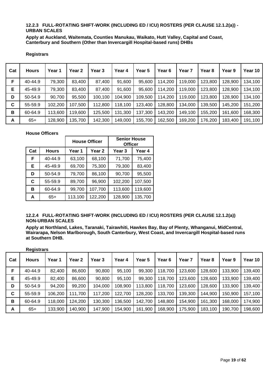#### **12.2.3 FULL-ROTATING SHIFT-WORK (INCLUDING ED / ICU) ROSTERS (PER CLAUSE 12.1.2(a)) - URBAN SCALES**

**Apply at Auckland, Waitemata, Counties Manukau, Waikato, Hutt Valley, Capital and Coast, Canterbury and Southern (Other than Invercargill Hospital-based runs) DHBs**

#### **Registrars**

| Cat         | <b>Hours</b> | Year 1  | Year <sub>2</sub> | Year 3  | Year 4  | Year 5  | Year 6  | Year 7  | Year <sub>8</sub> | Year 9  | Year 10 |
|-------------|--------------|---------|-------------------|---------|---------|---------|---------|---------|-------------------|---------|---------|
| F           | 40-44.9      | 79,300  | 83,400            | 87,400  | 91,600  | 95,600  | 114.200 | 119.000 | 123,800           | 128,900 | 134,100 |
| Е           | 45-49.9      | 79,300  | 83,400            | 87,400  | 91,600  | 95,600  | 114.200 | 119,000 | 123,800           | 128,900 | 134,100 |
| D           | 50-54.9      | 90,700  | 95,500            | 100,100 | 104,900 | 109,500 | 114.200 | 119,000 | 123,800           | 128,900 | 134,100 |
| $\mathbf c$ | 55-59.9      | 102,200 | 107,500           | 112,800 | 118,100 | 123,400 | 128,800 | 134,000 | 139,500           | 145,200 | 151,200 |
| В           | 60-64.9      | 113,600 | 119,600           | 125,500 | 131.300 | 137,300 | 143,200 | 149,100 | 155,200           | 161,600 | 168,300 |
| A           | $65+$        | 128,900 | 135,700           | 142,300 | 149,000 | 155,700 | 162,500 | 169,200 | 176,200           | 183,400 | 191,100 |

#### **House Officers**

|     |              |         | <b>House Officer</b> | <b>Senior House</b><br><b>Officer</b> |         |  |
|-----|--------------|---------|----------------------|---------------------------------------|---------|--|
| Cat | <b>Hours</b> | Year 1  | Year 2               | <b>Year 3</b>                         | Year 4  |  |
| F   | 40-44.9      | 63,100  | 68,100               | 71,700                                | 75,400  |  |
| Е   | 45-49.9      | 69,700  | 75,300               | 79,300                                | 83,400  |  |
| D   | 50-54.9      | 79,700  | 86,100               | 90,700                                | 95,500  |  |
| C   | 55-59.9      | 89,700  | 96,900               | 102,200                               | 107,500 |  |
| в   | 60-64.9      | 99,700  | 107,700              | 113,600                               | 119,600 |  |
| А   | $65+$        | 113,100 | 122,200              | 128,900                               | 135,700 |  |

#### <span id="page-18-0"></span>**12.2.4 FULL-ROTATING SHIFT-WORK (INCLUDING ED / ICU) ROSTERS (PER CLAUSE 12.1.2(a)) NON-URBAN SCALES**

**Apply at Northland, Lakes, Taranaki, Tairawhiti, Hawkes Bay, Bay of Plenty, Whanganui, MidCentral, Wairarapa, Nelson Marlborough, South Canterbury, West Coast, and Invercargill Hospital-based runs at Southern DHB.**

|     | <b>Registrars</b> |         |                   |         |         |         |         |         |                   |         |         |
|-----|-------------------|---------|-------------------|---------|---------|---------|---------|---------|-------------------|---------|---------|
| Cat | <b>Hours</b>      | Year 1  | Year <sub>2</sub> | Year 3  | Year 4  | Year 5  | Year 6  | Year 7  | Year <sub>8</sub> | Year 9  | Year 10 |
| F   | 40-44.9           | 82,400  | 86,600            | 90,800  | 95,100  | 99,300  | 118,700 | 123,600 | 128,600           | 133,900 | 139,400 |
| Е   | 45-49.9           | 82,400  | 86,600            | 90,800  | 95,100  | 99,300  | 118,700 | 123,600 | 128,600           | 133,900 | 139,400 |
| D   | 50-54.9           | 94,200  | 99,200            | 104,000 | 108,900 | 113,800 | 118,700 | 123,600 | 128,600           | 133,900 | 139,400 |
| C   | 55-59.9           | 106,200 | 111,700           | 117,200 | 122,700 | 128,200 | 133,700 | 139,300 | 144,900           | 150,900 | 157,100 |
| В   | 60-64.9           | 118,000 | 124,200           | 130,300 | 136,500 | 142,700 | 148,800 | 154,900 | 161,300           | 168,000 | 174,900 |
| A   | $65+$             | 133,900 | 140,900           | 147,900 | 154,900 | 161,900 | 168,900 | 175,900 | 183,100           | 190,700 | 198,600 |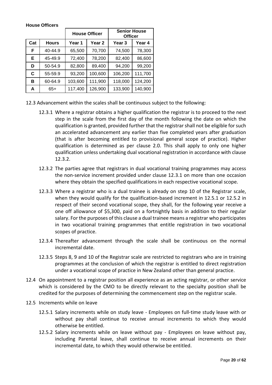|     |              |         | <b>House Officer</b> | <b>Senior House</b><br><b>Officer</b> |         |  |
|-----|--------------|---------|----------------------|---------------------------------------|---------|--|
| Cat | <b>Hours</b> | Year 1  | Year 2               | Year 3                                | Year 4  |  |
| F   | 40-44.9      | 65,500  | 70,700               | 74,500                                | 78,300  |  |
| Е   | 45-49.9      | 72,400  | 78,200               | 82,400                                | 86,600  |  |
| D   | 50-54.9      | 82,800  | 89,400               | 94,200                                | 99,200  |  |
| C   | 55-59.9      | 93,200  | 100,600              | 106,200                               | 111,700 |  |
| в   | 60-64.9      | 103,600 | 111,900              | 118,000                               | 124,200 |  |
| А   | $65+$        | 117,400 | 126,900              | 133,900                               | 140,900 |  |

#### **House Officers**

- 12.3 Advancement within the scales shall be continuous subject to the following:
	- 12.3.1 Where a registrar obtains a higher qualification the registrar is to proceed to the next step in the scale from the first day of the month following the date on which the qualification is granted, provided further that the registrar shall not be eligible for such an accelerated advancement any earlier than five completed years after graduation (that is after becoming entitled to provisional general scope of practice). Higher qualification is determined as per clause 2.0. This shall apply to only one higher qualification unless undertaking dual vocational registration in accordance with clause 12.3.2.
	- 12.3.2 The parties agree that registrars in dual vocational training programmes may access the non-service increment provided under clause 12.3.1 on more than one occasion where they obtain the specified qualifications in each respective vocational scope.
	- 12.3.3 Where a registrar who is a dual trainee is already on step 10 of the Registrar scale, when they would qualify for the qualification-based increment in 12.5.1 or 12.5.2 in respect of their second vocational scope, they shall, for the following year receive a one off allowance of \$5,300, paid on a fortnightly basis in addition to their regular salary. For the purposes of this clause a dual trainee means a registrar who participates in two vocational training programmes that entitle registration in two vocational scopes of practice.
	- 12.3.4 Thereafter advancement through the scale shall be continuous on the normal incremental date.
	- 12.3.5 Steps 8, 9 and 10 of the Registrar scale are restricted to registrars who are in training programmes at the conclusion of which the registrar is entitled to direct registration under a vocational scope of practice in New Zealand other than general practice.
- 12.4 On appointment to a registrar position all experience as an acting registrar, or other service which is considered by the CMO to be directly relevant to the specialty position shall be credited for the purposes of determining the commencement step on the registrar scale.
- 12.5 Increments while on leave
	- 12.5.1 Salary increments while on study leave Employees on full-time study leave with or without pay shall continue to receive annual increments to which they would otherwise be entitled.
	- 12.5.2 Salary increments while on leave without pay Employees on leave without pay, including Parental leave, shall continue to receive annual increments on their incremental date, to which they would otherwise be entitled.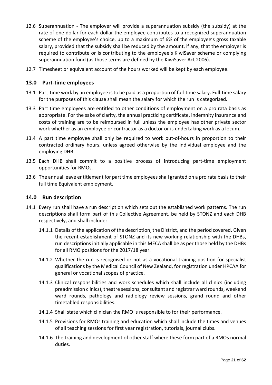- 12.6 Superannuation The employer will provide a superannuation subsidy (the subsidy) at the rate of one dollar for each dollar the employee contributes to a recognized superannuation scheme of the employee's choice, up to a maximum of 6% of the employee's gross taxable salary, provided that the subsidy shall be reduced by the amount, if any, that the employer is required to contribute or is contributing to the employee's KiwiSaver scheme or complying superannuation fund (as those terms are defined by the KiwiSaver Act 2006).
- 12.7 Timesheet or equivalent account of the hours worked will be kept by each employee.

## <span id="page-20-0"></span>**13.0 Part-time employees**

- 13.1 Part-time work by an employee is to be paid as a proportion of full-time salary. Full-time salary for the purposes of this clause shall mean the salary for which the run is categorised.
- 13.3 Part time employees are entitled to other conditions of employment on a pro rata basis as appropriate. For the sake of clarity, the annual practicing certificate, indemnity insurance and costs of training are to be reimbursed in full unless the employee has other private sector work whether as an employee or contractor as a doctor or is undertaking work as a locum.
- 13.4 A part time employee shall only be required to work out-of-hours in proportion to their contracted ordinary hours, unless agreed otherwise by the individual employee and the employing DHB.
- 13.5 Each DHB shall commit to a positive process of introducing part-time employment opportunities for RMOs.
- 13.6 The annual leave entitlement for part time employees shall granted on a pro rata basis to their full time Equivalent employment.

#### <span id="page-20-1"></span>**14.0 Run description**

- 14.1 Every run shall have a run description which sets out the established work patterns. The run descriptions shall form part of this Collective Agreement, be held by STONZ and each DHB respectively, and shall include:
	- 14.1.1 Details of the application of the description, the District, and the period covered. Given the recent establishment of STONZ and its new working relationship with the DHBs, run descriptions initially applicable in this MECA shall be as per those held by the DHBs for all RMO positions for the 2017/18 year.
	- 14.1.2 Whether the run is recognised or not as a vocational training position for specialist qualifications by the Medical Council of New Zealand, for registration under HPCAA for general or vocational scopes of practice.
	- 14.1.3 Clinical responsibilities and work schedules which shall include all clinics (including preadmission clinics), theatre sessions, consultant and registrar ward rounds, weekend ward rounds, pathology and radiology review sessions, grand round and other timetabled responsibilities.
	- 14.1.4 Shall state which clinician the RMO is responsible to for their performance.
	- 14.1.5 Provisions for RMOs training and education which shall include the times and venues of all teaching sessions for first year registration, tutorials, journal clubs.
	- 14.1.6 The training and development of other staff where these form part of a RMOs normal duties.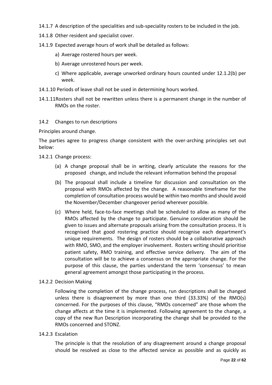14.1.7 A description of the specialities and sub-speciality rosters to be included in the job.

- 14.1.8 Other resident and specialist cover.
- 14.1.9 Expected average hours of work shall be detailed as follows:
	- a) Average rostered hours per week.
	- b) Average unrostered hours per week.
	- c) Where applicable, average unworked ordinary hours counted under 12.1.2(b) per week.
- 14.1.10 Periods of leave shall not be used in determining hours worked.
- 14.1.11Rosters shall not be rewritten unless there is a permanent change in the number of RMOs on the roster.
- 14.2 Changes to run descriptions

Principles around change.

The parties agree to progress change consistent with the over-arching principles set out below:

- 14.2.1 Change process:
	- (a) A change proposal shall be in writing, clearly articulate the reasons for the proposed change, and include the relevant information behind the proposal
	- (b) The proposal shall include a timeline for discussion and consultation on the proposal with RMOs affected by the change. A reasonable timeframe for the completion of consultation process would be within two months and should avoid the November/December changeover period wherever possible.
	- (c) Where held, face-to-face meetings shall be scheduled to allow as many of the RMOs affected by the change to participate. Genuine consideration should be given to issues and alternate proposals arising from the consultation process. It is recognised that good rostering practice should recognise each department's unique requirements. The design of rosters should be a collaborative approach with RMO, SMO, and the employer involvement. Rosters writing should prioritise patient safety, RMO training, and effective service delivery. The aim of the consultation will be to achieve a consensus on the appropriate change. For the purpose of this clause, the parties understand the term 'consensus' to mean general agreement amongst those participating in the process.
- 14.2.2 Decision Making

Following the completion of the change process, run descriptions shall be changed unless there is disagreement by more than one third (33.33%) of the RMO(s) concerned. For the purposes of this clause, "RMOs concerned" are those whom the change affects at the time it is implemented. Following agreement to the change, a copy of the new Run Description incorporating the change shall be provided to the RMOs concerned and STONZ.

14.2.3 Escalation

The principle is that the resolution of any disagreement around a change proposal should be resolved as close to the affected service as possible and as quickly as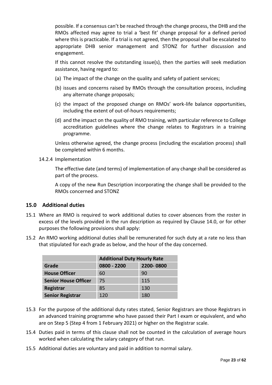possible. If a consensus can't be reached through the change process, the DHB and the RMOs affected may agree to trial a 'best fit' change proposal for a defined period where this is practicable. If a trial is not agreed, then the proposal shall be escalated to appropriate DHB senior management and STONZ for further discussion and engagement.

If this cannot resolve the outstanding issue(s), then the parties will seek mediation assistance, having regard to:

- (a) The impact of the change on the quality and safety of patient services;
- (b) issues and concerns raised by RMOs through the consultation process, including any alternate change proposals;
- (c) the impact of the proposed change on RMOs' work-life balance opportunities, including the extent of out-of-hours requirements;
- (d) and the impact on the quality of RMO training, with particular reference to College accreditation guidelines where the change relates to Registrars in a training programme.

Unless otherwise agreed, the change process (including the escalation process) shall be completed within 6 months.

14.2.4 Implementation

The effective date (and terms) of implementation of any change shall be considered as part of the process.

A copy of the new Run Description incorporating the change shall be provided to the RMOs concerned and STONZ

# <span id="page-22-0"></span>**15.0 Additional duties**

- 15.1 Where an RMO is required to work additional duties to cover absences from the roster in excess of the levels provided in the run description as required by Clause 14.0, or for other purposes the following provisions shall apply:
- 15.2 An RMO working additional duties shall be remunerated for such duty at a rate no less than that stipulated for each grade as below, and the hour of the day concerned.

|                             | <b>Additional Duty Hourly Rate</b> |           |  |  |  |
|-----------------------------|------------------------------------|-----------|--|--|--|
| Grade                       | $0800 - 2200$                      | 2200-0800 |  |  |  |
| <b>House Officer</b>        | 60                                 | 90        |  |  |  |
| <b>Senior House Officer</b> | 75                                 | 115       |  |  |  |
| Registrar                   | 85                                 | 130       |  |  |  |
| <b>Senior Registrar</b>     | 120                                | 180       |  |  |  |

- 15.3 For the purpose of the additional duty rates stated, Senior Registrars are those Registrars in an advanced training programme who have passed their Part I exam or equivalent, and who are on Step 5 (Step 4 from 1 February 2021) or higher on the Registrar scale.
- 15.4 Duties paid in terms of this clause shall not be counted in the calculation of average hours worked when calculating the salary category of that run.
- 15.5 Additional duties are voluntary and paid in addition to normal salary.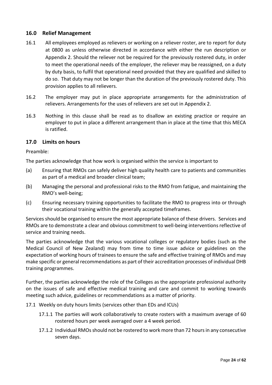# <span id="page-23-0"></span>**16.0 Relief Management**

- 16.1 All employees employed as relievers or working on a reliever roster, are to report for duty at 0800 as unless otherwise directed in accordance with either the run description or Appendix 2. Should the reliever not be required for the previously rostered duty, in order to meet the operational needs of the employer, the reliever may be reassigned, on a duty by duty basis, to fulfil that operational need provided that they are qualified and skilled to do so. That duty may not be longer than the duration of the previously rostered duty. This provision applies to all relievers.
- 16.2 The employer may put in place appropriate arrangements for the administration of relievers. Arrangements for the uses of relievers are set out in Appendix 2.
- 16.3 Nothing in this clause shall be read as to disallow an existing practice or require an employer to put in place a different arrangement than in place at the time that this MECA is ratified.

# <span id="page-23-1"></span>**17.0 Limits on hours**

Preamble:

The parties acknowledge that how work is organised within the service is important to

- (a) Ensuring that RMOs can safely deliver high quality health care to patients and communities as part of a medical and broader clinical team;
- (b) Managing the personal and professional risks to the RMO from fatigue, and maintaining the RMO's well-being;
- (c) Ensuring necessary training opportunities to facilitate the RMO to progress into or through their vocational training within the generally accepted timeframes.

Services should be organised to ensure the most appropriate balance of these drivers. Services and RMOs are to demonstrate a clear and obvious commitment to well-being interventions reflective of service and training needs.

The parties acknowledge that the various vocational colleges or regulatory bodies (such as the Medical Council of New Zealand) may from time to time issue advice or guidelines on the expectation of working hours of trainees to ensure the safe and effective training of RMOs and may make specific or general recommendations as part of their accreditation processes of individual DHB training programmes.

Further, the parties acknowledge the role of the Colleges as the appropriate professional authority on the issues of safe and effective medical training and care and commit to working towards meeting such advice, guidelines or recommendations as a matter of priority.

- 17.1 Weekly on duty hours limits (services other than EDs and ICUs)
	- 17.1.1 The parties will work collaboratively to create rosters with a maximum average of 60 rostered hours per week averaged over a 4 week period.
	- 17.1.2 Individual RMOs should not be rostered to work more than 72 hours in any consecutive seven days.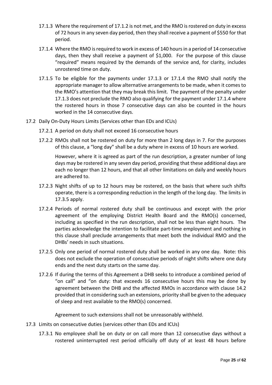- 17.1.3 Where the requirement of 17.1.2 is not met, and the RMO is rostered on duty in excess of 72 hours in any seven day period, then they shall receive a payment of \$550 for that period.
- 17.1.4 Where the RMO is required to work in excess of 140 hours in a period of 14 consecutive days, then they shall receive a payment of \$1,000. For the purpose of this clause "required" means required by the demands of the service and, for clarity, includes unrostered time on duty.
- 17.1.5 To be eligible for the payments under 17.1.3 or 17.1.4 the RMO shall notify the appropriate manager to allow alternative arrangements to be made, when it comes to the RMO's attention that they may break this limit. The payment of the penalty under 17.1.3 does not preclude the RMO also qualifying for the payment under 17.1.4 where the rostered hours in those 7 consecutive days can also be counted in the hours worked in the 14 consecutive days.
- 17.2 Daily On-Duty Hours Limits (Services other than EDs and ICUs)
	- 17.2.1 A period on duty shall not exceed 16 consecutive hours
	- 17.2.2 RMOs shall not be rostered on duty for more than 2 long days in 7. For the purposes of this clause, a "long day" shall be a duty where in excess of 10 hours are worked.

However, where it is agreed as part of the run description, a greater number of long days may be rostered in any seven day period, providing that these additional days are each no longer than 12 hours, and that all other limitations on daily and weekly hours are adhered to.

- 17.2.3 Night shifts of up to 12 hours may be rostered, on the basis that where such shifts operate, there is a corresponding reduction in the length of the long day. The limits in 17.3.5 apply.
- 17.2.4 Periods of normal rostered duty shall be continuous and except with the prior agreement of the employing District Health Board and the RMO(s) concerned, including as specified in the run description, shall not be less than eight hours. The parties acknowledge the intention to facilitate part-time employment and nothing in this clause shall preclude arrangements that meet both the individual RMO and the DHBs' needs in such situations.
- 17.2.5 Only one period of normal rostered duty shall be worked in any one day. Note: this does not exclude the operation of consecutive periods of night shifts where one duty ends and the next duty starts on the same day.
- 17.2.6 If during the terms of this Agreement a DHB seeks to introduce a combined period of "on call" and "on duty: that exceeds 16 consecutive hours this may be done by agreement between the DHB and the affected RMOs in accordance with clause 14.2 provided that in considering such an extensions, priority shall be given to the adequacy of sleep and rest available to the RMO(s) concerned.

Agreement to such extensions shall not be unreasonably withheld.

- 17.3 Limits on consecutive duties (services other than EDs and ICUs)
	- 17.3.1 No employee shall be on duty or on call more than 12 consecutive days without a rostered uninterrupted rest period officially off duty of at least 48 hours before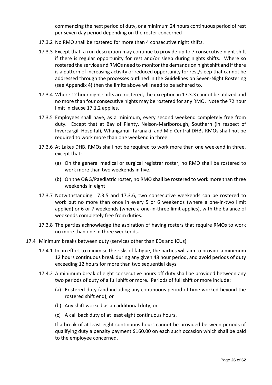commencing the next period of duty, or a minimum 24 hours continuous period of rest per seven day period depending on the roster concerned

- 17.3.2 No RMO shall be rostered for more than 4 consecutive night shifts.
- 17.3.3 Except that, a run description may continue to provide up to 7 consecutive night shift if there is regular opportunity for rest and/or sleep during nights shifts. Where so rostered the service and RMOs need to monitor the demands on night shift and if there is a pattern of increasing activity or reduced opportunity for rest/sleep that cannot be addressed through the processes outlined in the Guidelines on Seven-Night Rostering (see Appendix 4) then the limits above will need to be adhered to.
- 17.3.4 Where 12 hour night shifts are rostered, the exception in 17.3.3 cannot be utilized and no more than four consecutive nights may be rostered for any RMO. Note the 72 hour limit in clause 17.1.2 applies.
- 17.3.5 Employees shall have, as a minimum, every second weekend completely free from duty. Except that at Bay of Plenty, Nelson-Marlborough, Southern (in respect of Invercargill Hospital), Whanganui, Taranaki, and Mid Central DHBs RMOs shall not be required to work more than one weekend in three.
- 17.3.6 At Lakes DHB, RMOs shall not be required to work more than one weekend in three, except that:
	- (a) On the general medical or surgical registrar roster, no RMO shall be rostered to work more than two weekends in five.
	- (b) On the O&G/Paediatric roster, no RMO shall be rostered to work more than three weekends in eight.
- 17.3.7 Notwithstanding 17.3.5 and 17.3.6, two consecutive weekends can be rostered to work but no more than once in every 5 or 6 weekends (where a one-in-two limit applied) or 6 or 7 weekends (where a one-in-three limit applies), with the balance of weekends completely free from duties.
- 17.3.8 The parties acknowledge the aspiration of having rosters that require RMOs to work no more than one in three weekends.
- 17.4 Minimum breaks between duty (services other than EDs and ICUs)
	- 17.4.1 In an effort to minimise the risks of fatigue, the parties will aim to provide a minimum 12 hours continuous break during any given 48 hour period, and avoid periods of duty exceeding 12 hours for more than two sequential days.
	- 17.4.2 A minimum break of eight consecutive hours off duty shall be provided between any two periods of duty of a full shift or more. Periods of full shift or more include:
		- (a) Rostered duty (and including any continuous period of time worked beyond the rostered shift end); or
		- (b) Any shift worked as an additional duty; or
		- (c) A call back duty of at least eight continuous hours.

If a break of at least eight continuous hours cannot be provided between periods of qualifying duty a penalty payment \$160.00 on each such occasion which shall be paid to the employee concerned.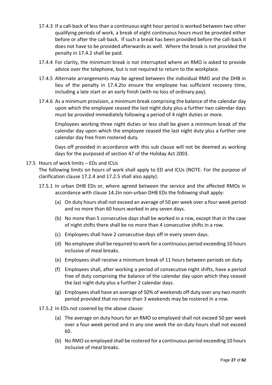- 17.4.3 If a call-back of less than a continuous eight hour period is worked between two other qualifying periods of work, a break of eight continuous hours must be provided either before or after the call-back. If such a break has been provided before the call-back it does not have to be provided afterwards as well. Where the break is not provided the penalty in 17.4.2 shall be paid.
- 17.4.4 For clarity, the minimum break is not interrupted where an RMO is asked to provide advice over the telephone, but is not required to return to the workplace.
- 17.4.5 Alternate arrangements may be agreed between the individual RMO and the DHB in lieu of the penalty in 17.4.2to ensure the employee has sufficient recovery time, including a late start or an early finish (with no loss of ordinary pay).
- 17.4.6 As a minimum provision, a minimum break comprising the balance of the calendar day upon which the employee ceased the last night duty plus a further two calendar days must be provided immediately following a period of 4 night duties or more.

Employees working three night duties or less shall be given a minimum break of the calendar day upon which the employee ceased the last night duty plus a further one calendar day free from rostered duty.

Days off provided in accordance with this sub clause will not be deemed as working days for the purposed of section 47 of the Holiday Act 2003.

# 17.5 Hours of work limits – EDs and ICUs

The following limits on hours of work shall apply to ED and ICUs (NOTE: For the purpose of clarification clause 17.2.4 and 17.2.5 shall also apply):

- 17.5.1 In urban DHB EDs or, where agreed between the service and the affected RMOs in accordance with clause 14.2in non-urban DHB EDs the following shall apply:
	- (a) On duty hours shall not exceed an average of 50 per week over a four week period and no more than 60 hours worked in any seven days.
	- (b) No more than 5 consecutive days shall be worked in a row, except that in the case of night shifts there shall be no more than 4 consecutive shifts in a row.
	- (c) Employees shall have 2 consecutive days off in every seven days.
	- (d) No employee shall be required to work for a continuous period exceeding 10 hours inclusive of meal breaks.
	- (e) Employees shall receive a minimum break of 11 hours between periods on duty.
	- (f) Employees shall, after working a period of consecutive night shifts, have a period free of duty comprising the balance of the calendar day upon which they ceased the last night duty plus a further 2 calendar days.
	- (g) Employees shall have an average of 50% of weekends off duty over any two month period provided that no more than 3 weekends may be rostered in a row.
- 17.5.2 In EDs not covered by the above clause:
	- (a) The average on duty hours for an RMO so employed shall not exceed 50 per week over a four week period and in any one week the on-duty hours shall not exceed 60.
	- (b) No RMO so employed shall be rostered for a continuous period exceeding 10 hours inclusive of meal breaks.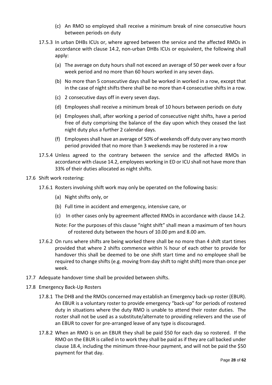- (c) An RMO so employed shall receive a minimum break of nine consecutive hours between periods on duty
- 17.5.3 In urban DHBs ICUs or, where agreed between the service and the affected RMOs in accordance with clause 14.2, non-urban DHBs ICUs or equivalent, the following shall apply:
	- (a) The average on duty hours shall not exceed an average of 50 per week over a four week period and no more than 60 hours worked in any seven days.
	- (b) No more than 5 consecutive days shall be worked in worked in a row, except that in the case of night shifts there shall be no more than 4 consecutive shifts in a row.
	- (c) 2 consecutive days off in every seven days.
	- (d) Employees shall receive a minimum break of 10 hours between periods on duty
	- (e) Employees shall, after working a period of consecutive night shifts, have a period free of duty comprising the balance of the day upon which they ceased the last night duty plus a further 2 calendar days.
	- (f) Employees shall have an average of 50% of weekends off duty over any two month period provided that no more than 3 weekends may be rostered in a row
- 17.5.4 Unless agreed to the contrary between the service and the affected RMOs in accordance with clause 14.2, employees working in ED or ICU shall not have more than 33% of their duties allocated as night shifts.
- 17.6 Shift work rostering:
	- 17.6.1 Rosters involving shift work may only be operated on the following basis:
		- (a) Night shifts only, or
		- (b) Full time in accident and emergency, intensive care, or
		- (c) In other cases only by agreement affected RMOs in accordance with clause 14.2.
		- Note: For the purposes of this clause "night shift" shall mean a maximum of ten hours of rostered duty between the hours of 10.00 pm and 8.00 am.
	- 17.6.2 On runs where shifts are being worked there shall be no more than 4 shift start times provided that where 2 shifts commence within ½ hour of each other to provide for handover this shall be deemed to be one shift start time and no employee shall be required to change shifts (e.g. moving from day shift to night shift) more than once per week.
- 17.7 Adequate handover time shall be provided between shifts.
- 17.8 Emergency Back-Up Rosters
	- 17.8.1 The DHB and the RMOs concerned may establish an Emergency back-up roster (EBUR). An EBUR is a voluntary roster to provide emergency "back-up" for periods of rostered duty in situations where the duty RMO is unable to attend their roster duties. The roster shall not be used as a substitute/alternate to providing relievers and the use of an EBUR to cover for pre-arranged leave of any type is discouraged.
	- 17.8.2 When an RMO is on an EBUR they shall be paid \$50 for each day so rostered. If the RMO on the EBUR is called in to work they shall be paid as if they are call backed under clause 18.4, including the minimum three-hour payment, and will not be paid the \$50 payment for that day.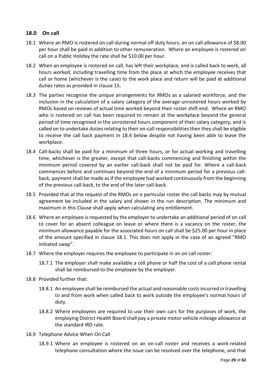# <span id="page-28-0"></span>**18.0 On call**

- 18.1 Where an RMO is rostered on call during normal off duty hours, an on call allowance of \$8.00 per hour shall be paid in addition to other remuneration. Where an employee is rostered on call on a Public Holiday the rate shall be \$10.00 per hour.
- 18.2 When an employee is rostered on call, has left their workplace, and is called back to work, all hours worked, including travelling time from the place at which the employee receives that call or home (whichever is the case) to the work place and return will be paid at additional duties rates as provided in clause 15.
- 18.3 The parties recognise the unique arrangements for RMOs as a salaried workforce, and the inclusion in the calculation of a salary category of the average unrostered hours worked by RMOs based on reviews of actual time worked beyond their roster shift end. Where an RMO who is rostered on call has been required to remain at the workplace beyond the general period of time recognised in the unrostered hours component of their salary category, and is called on to undertake duties relating to their on-call responsibilities then they shall be eligible to receive the call back payment in 18.4 below despite not having been able to leave the workplace.
- 18.4 Call-backs shall be paid for a minimum of three hours, or for actual working and travelling time, whichever is the greater, except that call-backs commencing and finishing within the minimum period covered by an earlier call-back shall not be paid for. Where a call-back commences before and continues beyond the end of a minimum period for a previous callback, payment shall be made as if the employee had worked continuously from the beginning of the previous call-back, to the end of the later call-back.
- 18.5 Provided that at the request of the RMOs on a particular roster the call backs may by mutual agreement be included in the salary and shown in the run description. The minimum and maximum in this Clause shall apply when calculating any entitlement.
- 18.6 Where an employee is requested by the employer to undertake an additional period of on call to cover for an absent colleague on leave or where there is a vacancy on the roster, the minimum allowance payable for the associated hours on call shall be \$25.00 per hour in place of the amount specified in clause 18.1. This does not apply in the case of an agreed "RMO initiated swap".
- 18.7 Where the employer requires the employee to participate in an on call roster:
	- 18.7.1 The employer shall make available a cell phone or half the cost of a cell phone rental shall be reimbursed to the employee by the employer.
- 18.8 Provided further that:
	- 18.8.1 An employee shall be reimbursed the actual and reasonable costs incurred in travelling to and from work when called back to work outside the employee's normal hours of duty.
	- 18.8.2 Where employees are required to use their own cars for the purposes of work, the employing District Health Board shall pay a private motor vehicle mileage allowance at the standard IRD rate.
- 18.9 Telephone Advice When On Call
	- 18.9.1 Where an employee is rostered on an on-call roster and receives a work-related telephone consultation where the issue can be resolved over the telephone, and that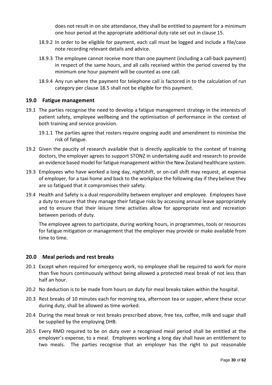does not result in on site attendance, they shall be entitled to payment for a minimum one hour period at the appropriate additional duty rate set out in clause 15.

- 18.9.2 In order to be eligible for payment, each call must be logged and include a file/case note recording relevant details and advice.
- 18.9.3 The employee cannot receive more than one payment (including a call-back payment) in respect of the same hours, and all calls received within the period covered by the minimum one hour payment will be counted as one call.
- 18.9.4 Any run where the payment for telephone call is factored in to the calculation of run category per clause 18.5 shall not be eligible for this payment.

# <span id="page-29-0"></span>**19.0 Fatigue management**

- 19.1 The parties recognise the need to develop a fatigue management strategy in the interests of patient safety, employee wellbeing and the optimisation of performance in the context of both training and service provision.
	- 19.1.1 The parties agree that rosters require ongoing audit and amendment to minimise the risk of fatigue.
- 19.2 Given the paucity of research available that is directly applicable to the context of training doctors, the employer agrees to support STONZ in undertaking audit and research to provide an evidence based model for fatigue management within the New Zealand healthcare system.
- 19.3 Employees who have worked a long day, nightshift, or on-call shift may request, at expense of employer, for a taxi home and back to the workplace the following day if they believe they are so fatigued that it compromises their safety.
- 19.4 Health and Safety is a dual responsibility between employer and employee. Employees have a duty to ensure that they manage their fatigue risks by accessing annual leave appropriately and to ensure that their leisure time activities allow for appropriate rest and recreation between periods of duty.

The employee agrees to participate, during working hours, in programmes, tools or resources for fatigue mitigation or management that the employer may provide or make available from time to time.

#### <span id="page-29-1"></span>**20.0 Meal periods and rest breaks**

- 20.1 Except when required for emergency work, no employee shall be required to work for more than five hours continuously without being allowed a protected meal break of not less than half an hour.
- 20.2 No deduction is to be made from hours on duty for meal breaks taken within the hospital.
- 20.3 Rest breaks of 10 minutes each for morning tea, afternoon tea or supper, where these occur during duty, shall be allowed as time worked.
- 20.4 During the meal break or rest breaks prescribed above, free tea, coffee, milk and sugar shall be supplied by the employing DHB.
- 20.5 Every RMO required to be on duty over a recognised meal period shall be entitled at the employer's expense, to a meal. Employees working a long day shall have an entitlement to two meals. The parties recognise that an employer has the right to put reasonable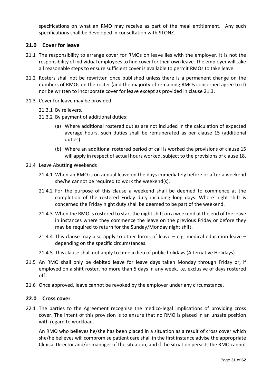specifications on what an RMO may receive as part of the meal entitlement. Any such specifications shall be developed in consultation with STONZ.

# <span id="page-30-0"></span>**21.0 Cover for leave**

- 21.1 The responsibility to arrange cover for RMOs on leave lies with the employer. It is not the responsibility of individual employees to find cover for their own leave. The employer will take all reasonable steps to ensure sufficient cover is available to permit RMOs to take leave.
- 21.2 Rosters shall not be rewritten once published unless there is a permanent change on the numbers of RMOs on the roster (and the majority of remaining RMOs concerned agree to it) nor be written to incorporate cover for leave except as provided in clause 21.3.
- 21.3 Cover for leave may be provided:
	- 21.3.1 By relievers.
	- 21.3.2 By payment of additional duties:
		- (a) Where additional rostered duties are not included in the calculation of expected average hours, such duties shall be remunerated as per clause 15 (additional duties).
		- (b) Where an additional rostered period of call is worked the provisions of clause 15 will apply in respect of actual hours worked, subject to the provisions of clause 18.
- 21.4 Leave Abutting Weekends
	- 21.4.1 When an RMO is on annual leave on the days immediately before or after a weekend she/he cannot be required to work the weekend(s).
	- 21.4.2 For the purpose of this clause a weekend shall be deemed to commence at the completion of the rostered Friday duty including long days. Where night shift is concerned the Friday night duty shall be deemed to be part of the weekend.
	- 21.4.3 When the RMO is rostered to start the night shift on a weekend at the end of the leave in instances where they commence the leave on the previous Friday or before they may be required to return for the Sunday/Monday night shift.
	- 21.4.4 This clause may also apply to other forms of leave  $-$  e.g. medical education leave  $$ depending on the specific circumstances.
	- 21.4.5 This clause shall not apply to time in lieu of public holidays (Alternative Holidays)
- 21.5 An RMO shall only be debited leave for leave days taken Monday through Friday or, if employed on a shift roster, no more than 5 days in any week, i.e. exclusive of days rostered off.
- 21.6 Once approved, leave cannot be revoked by the employer under any circumstance.

#### <span id="page-30-1"></span>**22.0 Cross cover**

22.1 The parties to the Agreement recognise the medico-legal implications of providing cross cover. The intent of this provision is to ensure that no RMO is placed in an unsafe position with regard to workload.

An RMO who believes he/she has been placed in a situation as a result of cross cover which she/he believes will compromise patient care shall in the first instance advise the appropriate Clinical Director and/or manager of the situation, and if the situation persists the RMO cannot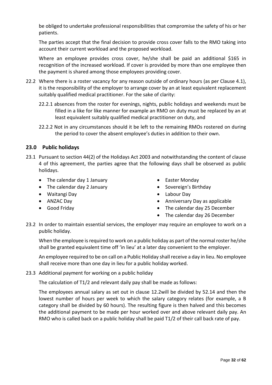be obliged to undertake professional responsibilities that compromise the safety of his or her patients.

The parties accept that the final decision to provide cross cover falls to the RMO taking into account their current workload and the proposed workload.

Where an employee provides cross cover, he/she shall be paid an additional \$165 in recognition of the increased workload. If cover is provided by more than one employee then the payment is shared among those employees providing cover.

- 22.2 Where there is a roster vacancy for any reason outside of ordinary hours (as per Clause 4.1), it is the responsibility of the employer to arrange cover by an at least equivalent replacement suitably qualified medical practitioner. For the sake of clarity:
	- 22.2.1 absences from the roster for evenings, nights, public holidays and weekends must be filled in a like for like manner for example an RMO on duty must be replaced by an at least equivalent suitably qualified medical practitioner on duty, and
	- 22.2.2 Not in any circumstances should it be left to the remaining RMOs rostered on during the period to cover the absent employee's duties in addition to their own.

# <span id="page-31-0"></span>**23.0 Public holidays**

- 23.1 Pursuant to section 44(2) of the Holidays Act 2003 and notwithstanding the content of clause 4 of this agreement, the parties agree that the following days shall be observed as public holidays.
	- The calendar day 1 January
	- The calendar day 2 January
	- Waitangi Day
	- ANZAC Day
	- Good Friday
- Easter Monday
- Sovereign's Birthday
- Labour Day
- Anniversary Day as applicable
- The calendar day 25 December
- The calendar day 26 December
- 23.2 In order to maintain essential services, the employer may require an employee to work on a public holiday.

When the employee is required to work on a public holiday as part of the normal roster he/she shall be granted equivalent time off 'in lieu' at a later day convenient to the employer.

An employee required to be on call on a Public Holiday shall receive a day in lieu. No employee shall receive more than one day in lieu for a public holiday worked.

23.3 Additional payment for working on a public holiday

The calculation of T1/2 and relevant daily pay shall be made as follows:

The employees annual salary as set out in clause 12.2will be divided by 52.14 and then the lowest number of hours per week to which the salary category relates (for example, a B category shall be divided by 60 hours). The resulting figure is then halved and this becomes the additional payment to be made per hour worked over and above relevant daily pay. An RMO who is called back on a public holiday shall be paid T1/2 of their call back rate of pay.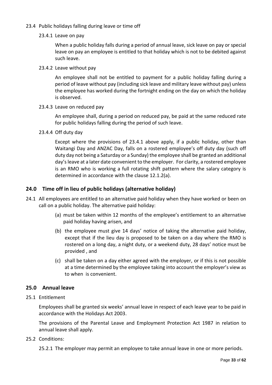### 23.4 Public holidays falling during leave or time off

23.4.1 Leave on pay

When a public holiday falls during a period of annual leave, sick leave on pay or special leave on pay an employee is entitled to that holiday which is not to be debited against such leave.

23.4.2 Leave without pay

An employee shall not be entitled to payment for a public holiday falling during a period of leave without pay (including sick leave and military leave without pay) unless the employee has worked during the fortnight ending on the day on which the holiday is observed.

23.4.3 Leave on reduced pay

An employee shall, during a period on reduced pay, be paid at the same reduced rate for public holidays falling during the period of such leave.

23.4.4 Off duty day

Except where the provisions of 23.4.1 above apply, if a public holiday, other than Waitangi Day and ANZAC Day, falls on a rostered employee's off duty day (such off duty day not being a Saturday or a Sunday) the employee shall be granted an additional day's leave at a later date convenient to the employer. For clarity, a rostered employee is an RMO who is working a full rotating shift pattern where the salary category is determined in accordance with the clause 12.1.2(a).

# <span id="page-32-0"></span>**24.0 Time off in lieu of public holidays (alternative holiday)**

- 24.1 All employees are entitled to an alternative paid holiday when they have worked or been on call on a public holiday. The alternative paid holiday:
	- (a) must be taken within 12 months of the employee's entitlement to an alternative paid holiday having arisen, and
	- (b) the employee must give 14 days' notice of taking the alternative paid holiday, except that if the lieu day is proposed to be taken on a day where the RMO is rostered on a long day, a night duty, or a weekend duty, 28 days' notice must be provided , and
	- (c) shall be taken on a day either agreed with the employer, or if this is not possible at a time determined by the employee taking into account the employer's view as to when is convenient.

# <span id="page-32-1"></span>**25.0 Annual leave**

25.1 Entitlement

Employees shall be granted six weeks' annual leave in respect of each leave year to be paid in accordance with the Holidays Act 2003.

The provisions of the Parental Leave and Employment Protection Act 1987 in relation to annual leave shall apply.

25.2 Conditions:

25.2.1 The employer may permit an employee to take annual leave in one or more periods.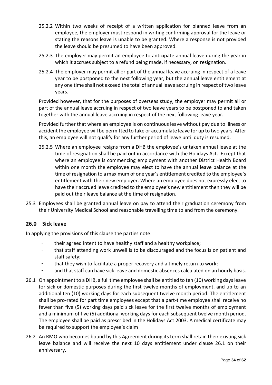- 25.2.2 Within two weeks of receipt of a written application for planned leave from an employee, the employer must respond in writing confirming approval for the leave or stating the reasons leave is unable to be granted. Where a response is not provided the leave should be presumed to have been approved.
- 25.2.3 The employer may permit an employee to anticipate annual leave during the year in which it accrues subject to a refund being made, if necessary, on resignation.
- 25.2.4 The employer may permit all or part of the annual leave accruing in respect of a leave year to be postponed to the next following year, but the annual leave entitlement at any one time shall not exceed the total of annual leave accruing in respect of two leave years.

Provided however, that for the purposes of overseas study, the employer may permit all or part of the annual leave accruing in respect of two leave years to be postponed to and taken together with the annual leave accruing in respect of the next following leave year.

Provided further that where an employee is on continuous leave without pay due to illness or accident the employee will be permitted to take or accumulate leave for up to two years. After this, an employee will not qualify for any further period of leave until duty is resumed.

- 25.2.5 Where an employee resigns from a DHB the employee's untaken annual leave at the time of resignation shall be paid out in accordance with the Holidays Act. Except that where an employee is commencing employment with another District Health Board within one month the employee may elect to have the annual leave balance at the time of resignation to a maximum of one year's entitlement credited to the employee's entitlement with their new employer. Where an employee does not expressly elect to have their accrued leave credited to the employee's new entitlement then they will be paid out their leave balance at the time of resignation.
- 25.3 Employees shall be granted annual leave on pay to attend their graduation ceremony from their University Medical School and reasonable travelling time to and from the ceremony.

# <span id="page-33-0"></span>**26.0 Sick leave**

In applying the provisions of this clause the parties note:

- their agreed intent to have healthy staff and a healthy workplace;
- that staff attending work unwell is to be discouraged and the focus is on patient and staff safety;
- that they wish to facilitate a proper recovery and a timely return to work;
- and that staff can have sick leave and domestic absences calculated on an hourly basis.
- 26.1 On appointment to a DHB, a full time employee shall be entitled to ten (10) working days leave for sick or domestic purposes during the first twelve months of employment, and up to an additional ten (10) working days for each subsequent twelve month period. The entitlement shall be pro-rated for part time employees except that a part-time employee shall receive no fewer than five (5) working days paid sick leave for the first twelve months of employment and a minimum of five (5) additional working days for each subsequent twelve month period. The employee shall be paid as prescribed in the Holidays Act 2003. A medical certificate may be required to support the employee's claim
- 26.2 An RMO who becomes bound by this Agreement during its term shall retain their existing sick leave balance and will receive the next 10 days entitlement under clause 26.1 on their anniversary.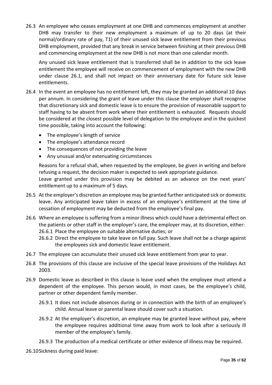26.3 An employee who ceases employment at one DHB and commences employment at another DHB may transfer to their new employment a maximum of up to 20 days (at their normal/ordinary rate of pay, T1) of their unused sick leave entitlement from their previous DHB employment, provided that any break in service between finishing at their previous DHB and commencing employment at the new DHB is not more than one calendar month.

Any unused sick leave entitlement that is transferred shall be in addition to the sick leave entitlement the employee will receive on commencement of employment with the new DHB under clause 26.1, and shall not impact on their anniversary date for future sick leave entitlements.

- 26.4 In the event an employee has no entitlement left, they may be granted an additional 10 days per annum. In considering the grant of leave under this clause the employer shall recognise that discretionary sick and domestic leave is to ensure the provision of reasonable support to staff having to be absent from work where their entitlement is exhausted. Requests should be considered at the closest possible level of delegation to the employee and in the quickest time possible, taking into account the following:
	- The employee's length of service
	- The employee's attendance record
	- The consequences of not providing the leave
	- Any unusual and/or extenuating circumstances

Reasons for a refusal shall, when requested by the employee, be given in writing and before refusing a request, the decision maker is expected to seek appropriate guidance. Leave granted under this provision may be debited as an advance on the next years'

entitlement up to a maximum of 5 days. 26.5 At the employer's discretion an employee may be granted further anticipated sick or domestic

- leave. Any anticipated leave taken in excess of an employee's entitlement at the time of cessation of employment may be deducted from the employee's final pay.
- 26.6 Where an employee is suffering from a minor illness which could have a detrimental effect on the patients or other staff in the employer's care, the employer may, at its discretion, either: 26.6.1 Place the employee on suitable alternative duties; or
	- 26.6.2 Direct the employee to take leave on full pay. Such leave shall not be a charge against the employees sick and domestic leave entitlement.
- 26.7 The employee can accumulate their unused sick leave entitlement from year to year.
- 26.8 The provisions of this clause are inclusive of the special leave provisions of the Holidays Act 2003.
- 26.9 Domestic leave as described in this clause is leave used when the employee must attend a dependent of the employee. This person would, in most cases, be the employee's child, partner or other dependent family member.
	- 26.9.1 It does not include absences during or in connection with the birth of an employee's child. Annual leave or parental leave should cover such a situation.
	- 26.9.2 At the employer's discretion, an employee may be granted leave without pay, where the employee requires additional time away from work to look after a seriously ill member of the employee's family.
	- 26.9.3 The production of a medical certificate or other evidence of illness may be required.

26.10Sickness during paid leave: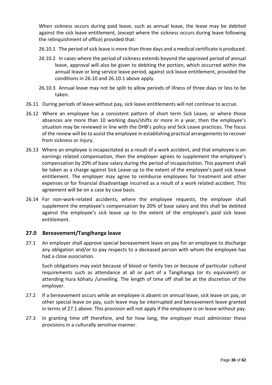When sickness occurs during paid leave, such as annual leave, the leave may be debited against the sick leave entitlement, (except where the sickness occurs during leave following the relinquishment of office) provided that:

- 26.10.1 The period of sick leave is more than three days and a medical certificate is produced.
- 26.10.2 In cases where the period of sickness extends beyond the approved period of annual leave, approval will also be given to debiting the portion, which occurred within the annual leave or long service leave period, against sick leave entitlement, provided the conditions in 26.10 and 26.10.1 above apply.
- 26.10.3 Annual leave may not be split to allow periods of illness of three days or less to be taken.
- 26.11 During periods of leave without pay, sick leave entitlements will not continue to accrue.
- 26.12 Where an employee has a consistent pattern of short term Sick Leave, or where those absences are more than 10 working days/shifts or more in a year, then the employee's situation may be reviewed in line with the DHB's policy and Sick Leave practices. The focus of the review will be to assist the employee in establishing practical arrangements to recover from sickness or injury.
- 26.13 Where an employee is incapacitated as a result of a work accident, and that employee is on earnings related compensation, then the employer agrees to supplement the employee's compensation by 20% of base salary during the period of incapacitation. This payment shall be taken as a charge against Sick Leave up to the extent of the employee's paid sick leave entitlement. The employer may agree to reimburse employees for treatment and other expenses or for financial disadvantage incurred as a result of a work related accident. This agreement will be on a case by case basis.
- 26.14 For non-work-related accidents, where the employee requests, the employer shall supplement the employee's compensation by 20% of base salary and this shall be debited against the employee's sick leave up to the extent of the employee's paid sick leave entitlement.

#### <span id="page-35-0"></span>**27.0 Bereavement/Tangihanga leave**

27.1 An employer shall approve special bereavement leave on pay for an employee to discharge any obligation and/or to pay respects to a deceased person with whom the employee has had a close association.

Such obligations may exist because of blood or family ties or because of particular cultural requirements such as attendance at all or part of a Tangihanga (or its equivalent) or attending hura kōhatu /unveiling. The length of time off shall be at the discretion of the employer.

- 27.2 If a bereavement occurs while an employee is absent on annual leave, sick leave on pay, or other special leave on pay, such leave may be interrupted and bereavement leave granted in terms of 27.1 above. This provision will not apply if the employee is on leave without pay.
- <span id="page-35-1"></span>27.3 In granting time off therefore, and for how long, the employer must administer these provisions in a culturally sensitive manner.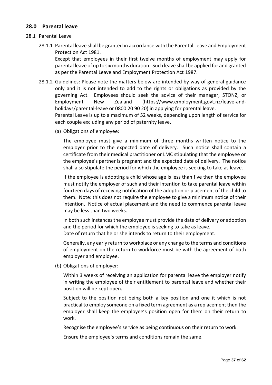# **28.0 Parental leave**

#### 28.1 Parental Leave

28.1.1 Parental leave shall be granted in accordance with the Parental Leave and Employment Protection Act 1981.

Except that employees in their first twelve months of employment may apply for parental leave of up to six months duration. Such leave shall be applied for and granted as per the Parental Leave and Employment Protection Act 1987.

28.1.2 Guidelines: Please note the matters below are intended by way of general guidance only and it is not intended to add to the rights or obligations as provided by the governing Act. Employees should seek the advice of their manager, STONZ, or Employment New Zealand [\(https://www.employment.govt.nz/leave-and](https://www.employment.govt.nz/leave-and-holidays/parental-leave)[holidays/parental-leave](https://www.employment.govt.nz/leave-and-holidays/parental-leave) or 0800 20 90 20) in applying for parental leave.

Parental Leave is up to a maximum of 52 weeks, depending upon length of service for each couple excluding any period of paternity leave.

(a) Obligations of employee:

The employee must give a minimum of three months written notice to the employer prior to the expected date of delivery. Such notice shall contain a certificate from their medical practitioner or LMC stipulating that the employee or the employee's partner is pregnant and the expected date of delivery. The notice shall also stipulate the period for which the employee is seeking to take as leave.

If the employee is adopting a child whose age is less than five then the employee must notify the employer of such and their intention to take parental leave within fourteen days of receiving notification of the adoption or placement of the child to them. Note: this does not require the employee to give a minimum notice of their intention. Notice of actual placement and the need to commence parental leave may be less than two weeks.

In both such instances the employee must provide the date of delivery or adoption and the period for which the employee is seeking to take as leave. Date of return that he or she intends to return to their employment.

Generally, any early return to workplace or any change to the terms and conditions of employment on the return to workforce must be with the agreement of both employer and employee.

(b) Obligations of employer:

Within 3 weeks of receiving an application for parental leave the employer notify in writing the employee of their entitlement to parental leave and whether their position will be kept open.

Subject to the position not being both a key position and one it which is not practical to employ someone on a fixed term agreement as a replacement then the employer shall keep the employee's position open for them on their return to work.

Recognise the employee's service as being continuous on their return to work.

Ensure the employee's terms and conditions remain the same.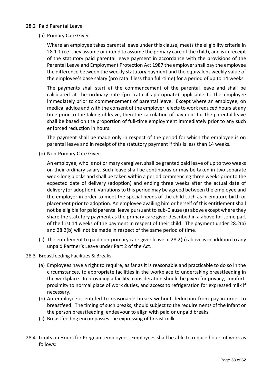#### 28.2 Paid Parental Leave

(a) Primary Care Giver:

Where an employee takes parental leave under this clause, meets the eligibility criteria in 28.1.1 (i.e. they assume or intend to assume the primary care of the child), and is in receipt of the statutory paid parental leave payment in accordance with the provisions of the Parental Leave and Employment Protection Act 1987 the employer shall pay the employee the difference between the weekly statutory payment and the equivalent weekly value of the employee's base salary (pro rata if less than full-time) for a period of up to 14 weeks.

The payments shall start at the commencement of the parental leave and shall be calculated at the ordinary rate (pro rata if appropriate) applicable to the employee immediately prior to commencement of parental leave. Except where an employee, on medical advice and with the consent of the employer, elects to work reduced hours at any time prior to the taking of leave, then the calculation of payment for the parental leave shall be based on the proportion of full-time employment immediately prior to any such enforced reduction in hours.

The payment shall be made only in respect of the period for which the employee is on parental leave and in receipt of the statutory payment if this is less than 14 weeks.

(b) Non-Primary Care Giver:

An employee, who is not primary caregiver, shall be granted paid leave of up to two weeks on their ordinary salary. Such leave shall be continuous or may be taken in two separate week-long blocks and shall be taken within a period commencing three weeks prior to the expected date of delivery (adoption) and ending three weeks after the actual date of delivery (or adoption). Variations to this period may be agreed between the employee and the employer in order to meet the special needs of the child such as premature birth or placement prior to adoption. An employee availing him or herself of this entitlement shall not be eligible for paid parental leave pursuant to sub-Clause (a) above except where they share the statutory payment as the primary care giver described in a above for some part of the first 14 weeks of the payment in respect of their child. The payment under 28.2(a) and 28.2(b) will not be made in respect of the same period of time.

- (c) The entitlement to paid non-primary care giver leave in 28.2(b) above is in addition to any unpaid Partner's Leave under Part 2 of the Act.
- 28.3 Breastfeeding Facilities & Breaks
	- (a) Employees have a right to require, as far as it is reasonable and practicable to do so in the circumstances, to appropriate facilities in the workplace to undertaking breastfeeding in the workplace. In providing a facility, consideration should be given for privacy, comfort, proximity to normal place of work duties, and access to refrigeration for expressed milk if necessary.
	- (b) An employee is entitled to reasonable breaks without deduction from pay in order to breastfeed. The timing of such breaks, should subject to the requirements of the infant or the person breastfeeding, endeavour to align with paid or unpaid breaks.
	- (c) Breastfeeding encompasses the expressing of breast milk.
- 28.4 Limits on Hours for Pregnant employees. Employees shall be able to reduce hours of work as follows: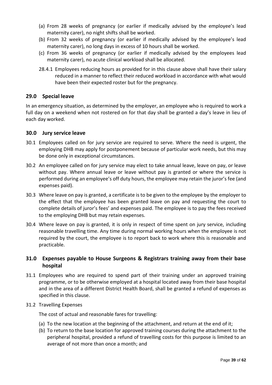- (a) From 28 weeks of pregnancy (or earlier if medically advised by the employee's lead maternity carer), no night shifts shall be worked.
- (b) From 32 weeks of pregnancy (or earlier if medically advised by the employee's lead maternity carer), no long days in excess of 10 hours shall be worked.
- (c) From 36 weeks of pregnancy (or earlier if medically advised by the employees lead maternity carer), no acute clinical workload shall be allocated.
- 28.4.1 Employees reducing hours as provided for in this clause above shall have their salary reduced in a manner to reflect their reduced workload in accordance with what would have been their expected roster but for the pregnancy.

# <span id="page-38-0"></span>**29.0 Special leave**

In an emergency situation, as determined by the employer, an employee who is required to work a full day on a weekend when not rostered on for that day shall be granted a day's leave in lieu of each day worked.

#### <span id="page-38-1"></span>**30.0 Jury service leave**

- 30.1 Employees called on for jury service are required to serve. Where the need is urgent, the employing DHB may apply for postponement because of particular work needs, but this may be done only in exceptional circumstances.
- 30.2 An employee called on for jury service may elect to take annual leave, leave on pay, or leave without pay. Where annual leave or leave without pay is granted or where the service is performed during an employee's off duty hours, the employee may retain the juror's fee (and expenses paid).
- 30.3 Where leave on pay is granted, a certificate is to be given to the employee by the employer to the effect that the employee has been granted leave on pay and requesting the court to complete details of juror's fees' and expenses paid. The employee is to pay the fees received to the employing DHB but may retain expenses.
- 30.4 Where leave on pay is granted, it is only in respect of time spent on jury service, including reasonable travelling time. Any time during normal working hours when the employee is not required by the court, the employee is to report back to work where this is reasonable and practicable.

# <span id="page-38-2"></span>**31.0 Expenses payable to House Surgeons & Registrars training away from their base hospital**

31.1 Employees who are required to spend part of their training under an approved training programme, or to be otherwise employed at a hospital located away from their base hospital and in the area of a different District Health Board, shall be granted a refund of expenses as specified in this clause.

#### 31.2 Travelling Expenses

The cost of actual and reasonable fares for travelling:

- (a) To the new location at the beginning of the attachment, and return at the end of it;
- (b) To return to the base location for approved training courses during the attachment to the peripheral hospital, provided a refund of travelling costs for this purpose is limited to an average of not more than once a month; and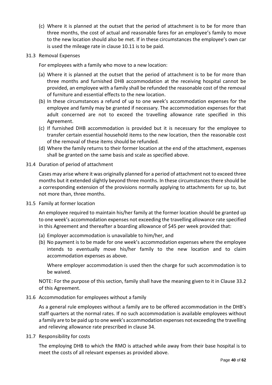(c) Where it is planned at the outset that the period of attachment is to be for more than three months, the cost of actual and reasonable fares for an employee's family to move to the new location should also be met. If in these circumstances the employee's own car is used the mileage rate in clause 10.11 is to be paid.

#### 31.3 Removal Expenses

For employees with a family who move to a new location:

- (a) Where it is planned at the outset that the period of attachment is to be for more than three months and furnished DHB accommodation at the receiving hospital cannot be provided, an employee with a family shall be refunded the reasonable cost of the removal of furniture and essential effects to the new location.
- (b) In these circumstances a refund of up to one week's accommodation expenses for the employee and family may be granted if necessary. The accommodation expenses for that adult concerned are not to exceed the travelling allowance rate specified in this Agreement.
- (c) If furnished DHB accommodation is provided but it is necessary for the employee to transfer certain essential household items to the new location, then the reasonable cost of the removal of these items should be refunded.
- (d) Where the family returns to their former location at the end of the attachment, expenses shall be granted on the same basis and scale as specified above.

#### 31.4 Duration of period of attachment

Cases may arise where it was originally planned for a period of attachment not to exceed three months but it extended slightly beyond three months. In these circumstances there should be a corresponding extension of the provisions normally applying to attachments for up to, but not more than, three months.

31.5 Family at former location

An employee required to maintain his/her family at the former location should be granted up to one week's accommodation expenses not exceeding the travelling allowance rate specified in this Agreement and thereafter a boarding allowance of \$45 per week provided that:

- (a) Employer accommodation is unavailable to him/her, and
- (b) No payment is to be made for one week's accommodation expenses where the employee intends to eventually move his/her family to the new location and to claim accommodation expenses as above.

Where employer accommodation is used then the charge for such accommodation is to be waived.

NOTE: For the purpose of this section, family shall have the meaning given to it in Clause 33.2 of this Agreement.

#### 31.6 Accommodation for employees without a family

As a general rule employees without a family are to be offered accommodation in the DHB's staff quarters at the normal rates. If no such accommodation is available employees without a family are to be paid up to one week's accommodation expenses not exceeding the travelling and relieving allowance rate prescribed in clause 34.

31.7 Responsibility for costs

The employing DHB to which the RMO is attached while away from their base hospital is to meet the costs of all relevant expenses as provided above.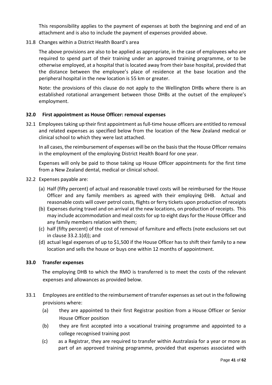This responsibility applies to the payment of expenses at both the beginning and end of an attachment and is also to include the payment of expenses provided above.

### 31.8 Changes within a District Health Board's area

The above provisions are also to be applied as appropriate, in the case of employees who are required to spend part of their training under an approved training programme, or to be otherwise employed, at a hospital that is located away from their base hospital, provided that the distance between the employee's place of residence at the base location and the peripheral hospital in the new location is 55 km or greater.

Note: the provisions of this clause do not apply to the Wellington DHBs where there is an established rotational arrangement between those DHBs at the outset of the employee's employment.

#### <span id="page-40-0"></span>**32.0 First appointment as House Officer: removal expenses**

32.1 Employeestaking up their first appointment as full-time house officers are entitled to removal and related expenses as specified below from the location of the New Zealand medical or clinical school to which they were last attached.

In all cases, the reimbursement of expenses will be on the basis that the House Officer remains in the employment of the employing District Health Board for one year.

Expenses will only be paid to those taking up House Officer appointments for the first time from a New Zealand dental, medical or clinical school.

- 32.2 Expenses payable are:
	- (a) Half (fifty percent) of actual and reasonable travel costs will be reimbursed for the House Officer and any family members as agreed with their employing DHB. Actual and reasonable costs will cover petrol costs, flights or ferry tickets upon production of receipts
	- (b) Expenses during travel and on arrival at the new locations, on production of receipts. This may include accommodation and meal costs for up to eight days for the House Officer and any family members relation with them;
	- (c) half (fifty percent) of the cost of removal of furniture and effects (note exclusions set out in clause 33.2.1(d)); and
	- (d) actual legal expenses of up to \$1,500 if the House Officer has to shift their family to a new location and sells the house or buys one within 12 months of appointment.

#### <span id="page-40-1"></span>**33.0 Transfer expenses**

The employing DHB to which the RMO is transferred is to meet the costs of the relevant expenses and allowances as provided below.

- 33.1 Employees are entitled to the reimbursement of transfer expenses as set out in the following provisions where:
	- (a) they are appointed to their first Registrar position from a House Officer or Senior House Officer position
	- (b) they are first accepted into a vocational training programme and appointed to a college recognised training post
	- (c) as a Registrar, they are required to transfer within Australasia for a year or more as part of an approved training programme, provided that expenses associated with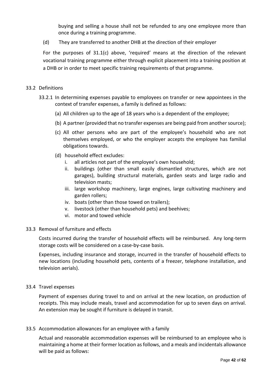buying and selling a house shall not be refunded to any one employee more than once during a training programme.

(d) They are transferred to another DHB at the direction of their employer

For the purposes of 31.1(c) above, 'required' means at the direction of the relevant vocational training programme either through explicit placement into a training position at a DHB or in order to meet specific training requirements of that programme.

#### 33.2 Definitions

- 33.2.1 In determining expenses payable to employees on transfer or new appointees in the context of transfer expenses, a family is defined as follows:
	- (a) All children up to the age of 18 years who is a dependent of the employee;
	- (b) A partner (provided that no transfer expenses are being paid from another source);
	- (c) All other persons who are part of the employee's household who are not themselves employed, or who the employer accepts the employee has familial obligations towards.
	- (d) household effect excludes:
		- i. all articles not part of the employee's own household;
		- ii. buildings (other than small easily dismantled structures, which are not garages), building structural materials, garden seats and large radio and television masts;
		- iii. large workshop machinery, large engines, large cultivating machinery and garden rollers;
		- iv. boats (other than those towed on trailers);
		- v. livestock (other than household pets) and beehives;
		- vi. motor and towed vehicle

#### 33.3 Removal of furniture and effects

Costs incurred during the transfer of household effects will be reimbursed. Any long-term storage costs will be considered on a case-by-case basis.

Expenses, including insurance and storage, incurred in the transfer of household effects to new locations (including household pets, contents of a freezer, telephone installation, and television aerials).

#### 33.4 Travel expenses

Payment of expenses during travel to and on arrival at the new location, on production of receipts. This may include meals, travel and accommodation for up to seven days on arrival. An extension may be sought if furniture is delayed in transit.

#### 33.5 Accommodation allowances for an employee with a family

Actual and reasonable accommodation expenses will be reimbursed to an employee who is maintaining a home at their former location as follows, and a meals and incidentals allowance will be paid as follows: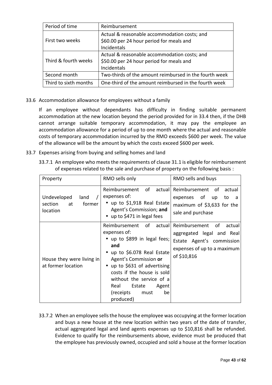| Period of time        | Reimbursement                                          |
|-----------------------|--------------------------------------------------------|
|                       | Actual & reasonable accommodation costs; and           |
| First two weeks       | \$60.00 per 24 hour period for meals and               |
|                       | Incidentals                                            |
|                       | Actual & reasonable accommodation costs; and           |
| Third & fourth weeks  | \$50.00 per 24 hour period for meals and               |
|                       | Incidentals                                            |
| Second month          | Two-thirds of the amount reimbursed in the fourth week |
| Third to sixth months | One-third of the amount reimbursed in the fourth week  |

33.6 Accommodation allowance for employees without a family

If an employee without dependants has difficulty in finding suitable permanent accommodation at the new location beyond the period provided for in 33.4 then, if the DHB cannot arrange suitable temporary accommodation, it may pay the employee an accommodation allowance for a period of up to one month where the actual and reasonable costs of temporary accommodation incurred by the RMO exceeds \$600 per week. The value of the allowance will be the amount by which the costs exceed \$600 per week.

- 33.7 Expenses arising from buying and selling homes and land
	- 33.7.1 An employee who meets the requirements of clause 31.1 is eligible for reimbursement of expenses related to the sale and purchase of property on the following basis :

| Property                                                   | RMO sells only                                                                                                                                                                                                                                                                                     | RMO sells and buys                                                                                                                    |
|------------------------------------------------------------|----------------------------------------------------------------------------------------------------------------------------------------------------------------------------------------------------------------------------------------------------------------------------------------------------|---------------------------------------------------------------------------------------------------------------------------------------|
| Undeveloped<br>land<br>section<br>at<br>former<br>location | Reimbursement of<br>actuall<br>expenses of:<br>• up to \$1,918 Real Estate<br>Agent's Commission; and<br>• up to \$471 in legal fees                                                                                                                                                               | Reimbursement of<br>actual<br>expenses of up<br>to<br>a<br>maximum of \$3,633 for the<br>sale and purchase                            |
| House they were living in<br>at former location            | Reimbursement of<br>actual<br>expenses of:<br>• up to \$899 in legal fees;<br>and<br>up to \$6.078 Real Estate<br>Agent's Commission or<br>up to \$631 of advertising<br>costs if the house is sold<br>without the service of a<br>Real<br>Estate<br>Agent<br>(receipts<br>be<br>must<br>produced) | Reimbursement<br>οf<br>actual<br>aggregated legal and Real<br>Estate Agent's commission<br>expenses of up to a maximum<br>of \$10,816 |

33.7.2 When an employee sells the house the employee was occupying at the former location and buys a new house at the new location within two years of the date of transfer, actual aggregated legal and land agents expenses up to \$10,816 shall be refunded. Evidence to qualify for the reimbursements above, evidence must be produced that the employee has previously owned, occupied and sold a house at the former location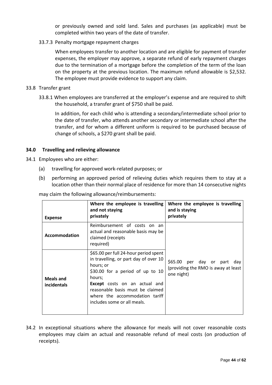or previously owned and sold land. Sales and purchases (as applicable) must be completed within two years of the date of transfer.

33.7.3 Penalty mortgage repayment charges

When employees transfer to another location and are eligible for payment of transfer expenses, the employer may approve, a separate refund of early repayment charges due to the termination of a mortgage before the completion of the term of the loan on the property at the previous location. The maximum refund allowable is \$2,532. The employee must provide evidence to support any claim.

#### 33.8 Transfer grant

33.8.1 When employees are transferred at the employer's expense and are required to shift the household, a transfer grant of \$750 shall be paid.

In addition, for each child who is attending a secondary/intermediate school prior to the date of transfer, who attends another secondary or intermediate school after the transfer, and for whom a different uniform is required to be purchased because of change of schools, a \$270 grant shall be paid.

#### <span id="page-43-0"></span>**34.0 Travelling and relieving allowance**

- 34.1 Employees who are either:
	- (a) travelling for approved work-related purposes; or
	- (b) performing an approved period of relieving duties which requires them to stay at a location other than their normal place of residence for more than 14 consecutive nights

may claim the following allowance/reimbursements:

| <b>Expense</b>                         | Where the employee is travelling<br>and not staying<br>privately                                                                                                                                                                                                                       | Where the employee is travelling<br>and is staying<br>privately                         |
|----------------------------------------|----------------------------------------------------------------------------------------------------------------------------------------------------------------------------------------------------------------------------------------------------------------------------------------|-----------------------------------------------------------------------------------------|
| Accommodation                          | Reimbursement of costs on an<br>actual and reasonable basis may be<br>claimed (receipts<br>required)                                                                                                                                                                                   |                                                                                         |
| <b>Meals and</b><br><i>incidentals</i> | \$65.00 per full 24-hour period spent<br>in travelling, or part day of over 10<br>hours; or<br>\$30.00 for a period of up to 10<br>hours;<br><b>Except</b> costs on an actual and<br>reasonable basis must be claimed<br>where the accommodation tariff<br>includes some or all meals. | \$65.00<br>per day or part<br>dav<br>(providing the RMO is away at least)<br>one night) |

34.2 In exceptional situations where the allowance for meals will not cover reasonable costs employees may claim an actual and reasonable refund of meal costs (on production of receipts).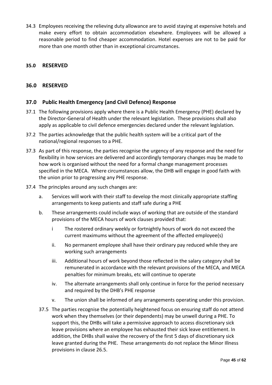34.3 Employees receiving the relieving duty allowance are to avoid staying at expensive hotels and make every effort to obtain accommodation elsewhere. Employees will be allowed a reasonable period to find cheaper accommodation. Hotel expenses are not to be paid for more than one month other than in exceptional circumstances.

# <span id="page-44-1"></span><span id="page-44-0"></span>**35.0 RESERVED**

#### **36.0 RESERVED**

#### <span id="page-44-2"></span>**37.0 Public Health Emergency (and Civil Defence) Response**

- 37.1 The following provisions apply where there is a Public Health Emergency (PHE) declared by the Director-General of Health under the relevant legislation. These provisions shall also apply as applicable to civil defence emergencies declared under the relevant legislation.
- 37.2 The parties acknowledge that the public health system will be a critical part of the national/regional responses to a PHE.
- 37.3 As part of this response, the parties recognise the urgency of any response and the need for flexibility in how services are delivered and accordingly temporary changes may be made to how work is organised without the need for a formal change management processes specified in the MECA. Where circumstances allow, the DHB will engage in good faith with the union prior to progressing any PHE response.
- 37.4 The principles around any such changes are:
	- a. Services will work with their staff to develop the most clinically appropriate staffing arrangements to keep patients and staff safe during a PHE
	- b. These arrangements could include ways of working that are outside of the standard provisions of the MECA hours of work clauses provided that:
		- i The rostered ordinary weekly or fortnightly hours of work do not exceed the current maximums without the agreement of the affected employee(s)
		- ii. No permanent employee shall have their ordinary pay reduced while they are working such arrangements
		- iii. Additional hours of work beyond those reflected in the salary category shall be remunerated in accordance with the relevant provisions of the MECA, and MECA penalties for minimum breaks, etc will continue to operate
		- iv. The alternate arrangements shall only continue in force for the period necessary and required by the DHB's PHE response
		- v. The union shall be informed of any arrangements operating under this provision.
	- 37.5 The parties recognise the potentially heightened focus on ensuring staff do not attend work when they themselves (or their dependents) may be unwell during a PHE. To support this, the DHBs will take a permissive approach to access discretionary sick leave provisions where an employee has exhausted their sick leave entitlement. In addition, the DHBs shall waive the recovery of the first 5 days of discretionary sick leave granted during the PHE. These arrangements do not replace the Minor Illness provisions in clause 26.5.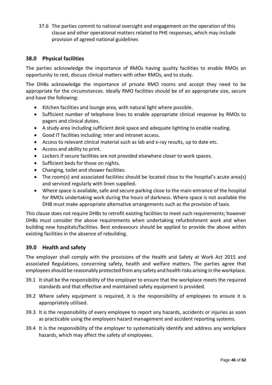37.6 The parties commit to national oversight and engagement on the operation of this clause and other operational matters related to PHE responses, which may include provision of agreed national guidelines

# <span id="page-45-0"></span>**38.0 Physical facilities**

The parties acknowledge the importance of RMOs having quality facilities to enable RMOs an opportunity to rest, discuss clinical matters with other RMOs, and to study.

The DHBs acknowledge the importance of private RMO rooms and accept they need to be appropriate for the circumstances. Ideally RMO facilities should be of an appropriate size, secure and have the following:

- Kitchen facilities and lounge area, with natural light where possible.
- Sufficient number of telephone lines to enable appropriate clinical response by RMOs to pagers and clinical duties.
- A study area including sufficient desk space and adequate lighting to enable reading.
- Good IT facilities including: inter and intranet access.
- Access to relevant clinical material such as lab and x-ray results, up to date etc.
- Access and ability to print.
- Lockers if secure facilities are not provided elsewhere closer to work spaces.
- Sufficient beds for those on nights.
- Changing, toilet and shower facilities.
- The room(s) and associated facilities should be located close to the hospital's acute area(s) and serviced regularly with linen supplied.
- Where space is available, safe and secure parking close to the main entrance of the hospital for RMOs undertaking work during the hours of darkness. Where space is not available the DHB must make appropriate alternative arrangements such as the provision of taxis.

This clause does not require DHBs to retrofit existing facilities to meet such requirements; however DHBs must consider the above requirements when undertaking refurbishment work and when building new hospitals/facilities. Best endeavours should be applied to provide the above within existing facilities in the absence of rebuilding.

#### <span id="page-45-1"></span>**39.0 Health and safety**

The employer shall comply with the provisions of the Health and Safety at Work Act 2015 and associated Regulations, concerning safety, health and welfare matters. The parties agree that employees should be reasonably protected from any safety and health risks arising in the workplace.

- 39.1 It shall be the responsibility of the employer to ensure that the workplace meets the required standards and that effective and maintained safety equipment is provided.
- 39.2 Where safety equipment is required, it is the responsibility of employees to ensure it is appropriately utilised.
- 39.3 It is the responsibility of every employee to report any hazards, accidents or injuries as soon as practicable using the employers hazard management and accident reporting systems.
- 39.4 It is the responsibility of the employer to systematically identify and address any workplace hazards, which may affect the safety of employees.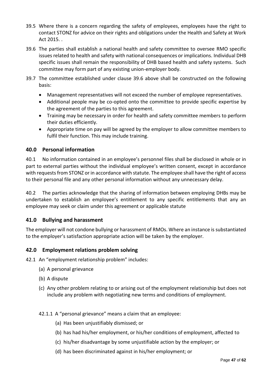- 39.5 Where there is a concern regarding the safety of employees, employees have the right to contact STONZ for advice on their rights and obligations under the Health and Safety at Work Act 2015. .
- 39.6 The parties shall establish a national health and safety committee to oversee RMO specific issues related to health and safety with national consequences or implications. Individual DHB specific issues shall remain the responsibility of DHB based health and safety systems. Such committee may form part of any existing union-employer body.
- 39.7 The committee established under clause 39.6 above shall be constructed on the following basis:
	- Management representatives will not exceed the number of employee representatives.
	- Additional people may be co-opted onto the committee to provide specific expertise by the agreement of the parties to this agreement.
	- Training may be necessary in order for health and safety committee members to perform their duties efficiently.
	- Appropriate time on pay will be agreed by the employer to allow committee members to fulfil their function. This may include training.

# <span id="page-46-0"></span>**40.0 Personal information**

40.1 No information contained in an employee's personnel files shall be disclosed in whole or in part to external parties without the individual employee's written consent, except in accordance with requests from STONZ or in accordance with statute. The employee shall have the right of access to their personal file and any other personal information without any unnecessary delay.

40.2 The parties acknowledge that the sharing of information between employing DHBs may be undertaken to establish an employee's entitlement to any specific entitlements that any an employee may seek or claim under this agreement or applicable statute

# <span id="page-46-1"></span>**41.0 Bullying and harassment**

The employer will not condone bullying or harassment of RMOs. Where an instance is substantiated to the employer's satisfaction appropriate action will be taken by the employer.

# <span id="page-46-2"></span>**42.0 Employment relations problem solving**

42.1 An "employment relationship problem" includes:

- (a) A personal grievance
- (b) A dispute
- (c) Any other problem relating to or arising out of the employment relationship but does not include any problem with negotiating new terms and conditions of employment.

#### 42.1.1 A "personal grievance" means a claim that an employee:

- (a) Has been unjustifiably dismissed; or
- (b) has had his/her employment, or his/her conditions of employment, affected to
- (c) his/her disadvantage by some unjustifiable action by the employer; or
- (d) has been discriminated against in his/her employment; or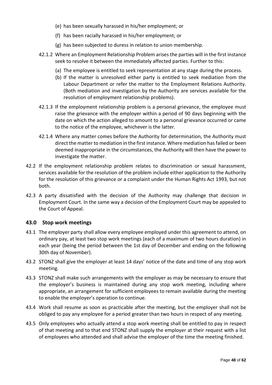- (e) has been sexually harassed in his/her employment; or
- (f) has been racially harassed in his/her employment; or
- (g) has been subjected to duress in relation to union membership.
- 42.1.2 Where an Employment Relationship Problem arises the parties will in the first instance seek to resolve it between the immediately affected parties. Further to this:
	- (a) The employee is entitled to seek representation at any stage during the process.
	- (b) If the matter is unresolved either party is entitled to seek mediation from the Labour Department or refer the matter to the Employment Relations Authority. (Both mediation and investigation by the Authority are services available for the resolution of employment relationship problems).
- 42.1.3 If the employment relationship problem is a personal grievance, the employee must raise the grievance with the employer within a period of 90 days beginning with the date on which the action alleged to amount to a personal grievance occurred or came to the notice of the employee, whichever is the latter.
- 42.1.4 Where any matter comes before the Authority for determination, the Authority must direct the matter to mediation in the first instance. Where mediation has failed or been deemed inappropriate in the circumstances, the Authority will then have the power to investigate the matter.
- 42.2 If the employment relationship problem relates to discrimination or sexual harassment, services available for the resolution of the problem include either application to the Authority for the resolution of this grievance or a complaint under the Human Rights Act 1993, but not both.
- 42.3 A party dissatisfied with the decision of the Authority may challenge that decision in Employment Court. In the same way a decision of the Employment Court may be appealed to the Court of Appeal.

# <span id="page-47-0"></span>**43.0 Stop work meetings**

- 43.1 The employer party shall allow every employee employed under this agreement to attend, on ordinary pay, at least two stop work meetings (each of a maximum of two hours duration) in each year (being the period between the 1st day of December and ending on the following 30th day of November).
- 43.2 STONZ shall give the employer at least 14 days' notice of the date and time of any stop work meeting.
- 43.3 STONZ shall make such arrangements with the employer as may be necessary to ensure that the employer's business is maintained during any stop work meeting, including where appropriate, an arrangement for sufficient employees to remain available during the meeting to enable the employer's operation to continue.
- 43.4 Work shall resume as soon as practicable after the meeting, but the employer shall not be obliged to pay any employee for a period greater than two hours in respect of any meeting.
- <span id="page-47-1"></span>43.5 Only employees who actually attend a stop work meeting shall be entitled to pay in respect of that meeting and to that end STONZ shall supply the employer at their request with a list of employees who attended and shall advise the employer of the time the meeting finished.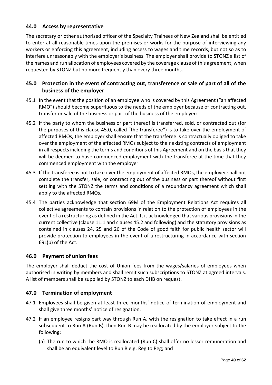# **44.0 Access by representative**

The secretary or other authorised officer of the Specialty Trainees of New Zealand shall be entitled to enter at all reasonable times upon the premises or works for the purpose of interviewing any workers or enforcing this agreement, including access to wages and time records, but not so as to interfere unreasonably with the employer's business. The employer shall provide to STONZ a list of the names and run allocation of employees covered by the coverage clause of this agreement, when requested by STONZ but no more frequently than every three months.

# <span id="page-48-0"></span>**45.0 Protection in the event of contracting out, transference or sale of part of all of the business of the employer**

- 45.1 In the event that the position of an employee who is covered by this Agreement ("an affected RMO") should become superfluous to the needs of the employer because of contracting out, transfer or sale of the business or part of the business of the employer:
- 45.2 If the party to whom the business or part thereof is transferred, sold, or contracted out (for the purposes of this clause 45.0, called "the transferee") is to take over the employment of affected RMOs, the employer shall ensure that the transferee is contractually obliged to take over the employment of the affected RMOs subject to their existing contracts of employment in all respects including the terms and conditions of this Agreement and on the basis that they will be deemed to have commenced employment with the transferee at the time that they commenced employment with the employer.
- 45.3 If the transferee is not to take over the employment of affected RMOs, the employer shall not complete the transfer, sale, or contracting out of the business or part thereof without first settling with the STONZ the terms and conditions of a redundancy agreement which shall apply to the affected RMOs.
- 45.4 The parties acknowledge that section 69M of the Employment Relations Act requires all collective agreements to contain provisions in relation to the protection of employees in the event of a restructuring as defined in the Act. It is acknowledged that various provisions in the current collective (clause 11.1 and clauses 45.2 and following) and the statutory provisions as contained in clauses 24, 25 and 26 of the Code of good faith for public health sector will provide protection to employees in the event of a restructuring in accordance with section 69L(b) of the Act.

# <span id="page-48-1"></span>**46.0 Payment of union fees**

The employer shall deduct the cost of Union fees from the wages/salaries of employees when authorised in writing by members and shall remit such subscriptions to STONZ at agreed intervals. A list of members shall be supplied by STONZ to each DHB on request.

# <span id="page-48-2"></span>**47.0 Termination of employment**

- 47.1 Employees shall be given at least three months' notice of termination of employment and shall give three months' notice of resignation.
- 47.2 If an employee resigns part way through Run A, with the resignation to take effect in a run subsequent to Run A (Run B), then Run B may be reallocated by the employer subject to the following:
	- (a) The run to which the RMO is reallocated (Run C) shall offer no lesser remuneration and shall be an equivalent level to Run B e.g. Reg to Reg; and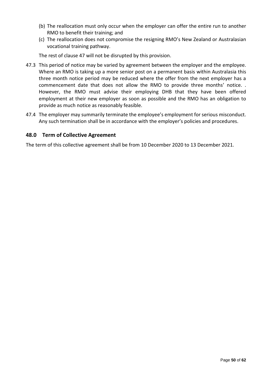- (b) The reallocation must only occur when the employer can offer the entire run to another RMO to benefit their training; and
- (c) The reallocation does not compromise the resigning RMO's New Zealand or Australasian vocational training pathway.

The rest of clause 47 will not be disrupted by this provision.

- 47.3 This period of notice may be varied by agreement between the employer and the employee. Where an RMO is taking up a more senior post on a permanent basis within Australasia this three month notice period may be reduced where the offer from the next employer has a commencement date that does not allow the RMO to provide three months' notice. . However, the RMO must advise their employing DHB that they have been offered employment at their new employer as soon as possible and the RMO has an obligation to provide as much notice as reasonably feasible.
- 47.4 The employer may summarily terminate the employee's employment for serious misconduct. Any such termination shall be in accordance with the employer's policies and procedures.

# <span id="page-49-0"></span>**48.0 Term of Collective Agreement**

The term of this collective agreement shall be from 10 December 2020 to 13 December 2021.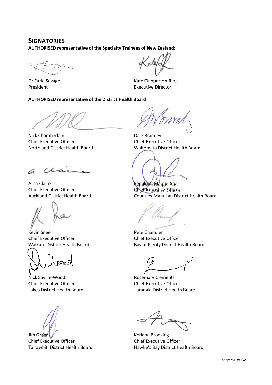# **SIGNATORIES**

**AUTHORISED representative of the Specialty Trainees of New Zealand:**

Dr Earle Savage President

#### **AUTHORISED representative of the District Health Board**

Nick Chamberlain Chief Executive Officer Northland District Health Board

∠ A

Ailsa Claire Chief Executive Officer Auckland District Health Board

Kevin Snee Chief Executive Officer Waikato District Health Board

Nick Saville-Wood Chief Executive Officer Lakes District Health Board

Jim Green Chief Executive Officer Tairawhiti District Health Board

Kate Clapperton-Rees Executive Director

Dale Bramley Chief Executive Officer Waitemata District Health Board

Fepulea'i Margie Apa Chief Executive Officer Counties-Manukau District Health Board

Pete Chandler Chief Executive Officer Bay of Plenty District Health Board

Rosemary Clements Chief Executive Officer Taranaki District Health Board

Keriana Brooking Chief Executive Officer Hawke's Bay District Health Board

Page **51** of **62**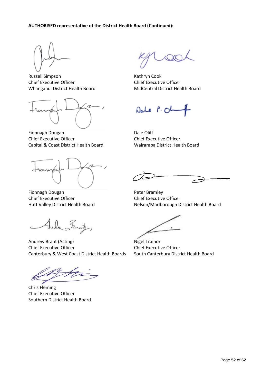

Russell Simpson Chief Executive Officer Whanganui District Health Board



Fionnagh Dougan Chief Executive Officer Capital & Coast District Health Board

Fionnagh Dougan Chief Executive Officer Hutt Valley District Health Board

Fela Fritz

Andrew Brant (Acting) Chief Executive Officer Canterbury & West Coast District Health Boards

Chris Fleming Chief Executive Officer Southern District Health Board

Kathryn Cook Chief Executive Officer MidCentral District Health Board

Dale P.OL

Dale Oliff Chief Executive Officer Wairarapa District Health Board

Peter Bramley Chief Executive Officer Nelson/Marlborough District Health Board

Nigel Trainor Chief Executive Officer South Canterbury District Health Board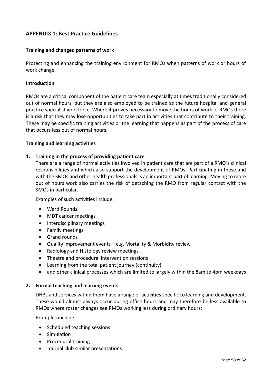# <span id="page-52-0"></span>**APPENDIX 1: Best Practice Guidelines**

#### **Training and changed patterns of work**

Protecting and enhancing the training environment for RMOs when patterns of work or hours of work change.

#### **Introduction**

RMOs are a critical component of the patient care team especially at times traditionally considered out of normal hours, but they are also employed to be trained as the future hospital and general practice specialist workforce. Where it proves necessary to move the hours of work of RMOs there is a risk that they may lose opportunities to take part in activities that contribute to their training. These may be specific training activities or the learning that happens as part of the process of care that occurs less out of normal hours.

#### **Training and learning activities**

#### **1. Training in the process of providing patient care**

There are a range of normal activities involved in patient care that are part of a RMO's clinical responsibilities and which also support the development of RMOs. Participating in these and with the SMOs and other health professionals is an important part of learning. Moving to more out of hours work also carries the risk of detaching the RMO from regular contact with the SMOs in particular.

Examples of such activities include:

- Ward Rounds
- MDT cancer meetings
- Interdisciplinary meetings
- Family meetings
- Grand rounds
- Quality improvement events e.g. Mortality & Morbidity review
- Radiology and Histology review meetings
- Theatre and procedural intervention sessions
- Learning from the total patient journey (continuity)
- and other clinical processes which are limited to largely within the 8am to 4pm weekdays

#### **2. Formal teaching and learning events**

DHBs and services within them have a range of activities specific to learning and development. These would almost always occur during office hours and may therefore be less available to RMOs where roster changes see RMOs working less during ordinary hours:

Examples include:

- Scheduled teaching sessions
- Simulation
- Procedural training
- Journal club similar presentations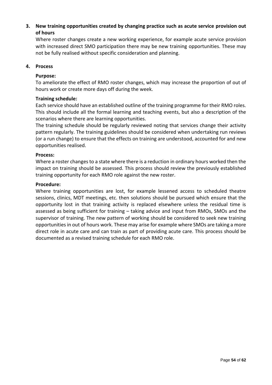# **3. New training opportunities created by changing practice such as acute service provision out of hours**

Where roster changes create a new working experience, for example acute service provision with increased direct SMO participation there may be new training opportunities. These may not be fully realised without specific consideration and planning.

# **4. Process**

# **Purpose:**

To ameliorate the effect of RMO roster changes, which may increase the proportion of out of hours work or create more days off during the week.

# **Training schedule:**

Each service should have an established outline of the training programme for their RMO roles. This should include all the formal learning and teaching events, but also a description of the scenarios where there are learning opportunities.

The training schedule should be regularly reviewed noting that services change their activity pattern regularly. The training guidelines should be considered when undertaking run reviews (or a run change) to ensure that the effects on training are understood, accounted for and new opportunities realised.

#### **Process:**

Where a roster changes to a state where there is a reduction in ordinary hours worked then the impact on training should be assessed. This process should review the previously established training opportunity for each RMO role against the new roster.

#### **Procedure:**

Where training opportunities are lost, for example lessened access to scheduled theatre sessions, clinics, MDT meetings, etc. then solutions should be pursued which ensure that the opportunity lost in that training activity is replaced elsewhere unless the residual time is assessed as being sufficient for training – taking advice and input from RMOs, SMOs and the supervisor of training. The new pattern of working should be considered to seek new training opportunities in out of hours work. These may arise for example where SMOs are taking a more direct role in acute care and can train as part of providing acute care. This process should be documented as a revised training schedule for each RMO role.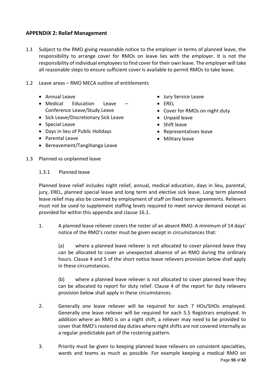# <span id="page-54-0"></span>**APPENDIX 2: Relief Management**

- 1.1 Subject to the RMO giving reasonable notice to the employer in terms of planned leave, the responsibility to arrange cover for RMOs on leave lies with the employer. It is not the responsibility of individual employees to find cover for their own leave. The employer will take all reasonable steps to ensure sufficient cover is available to permit RMOs to take leave.
- 1.2 Leave areas RMO MECA outline of entitlements
	- Annual Leave
	- Medical Education Leave Conference Leave/Study Leave
	- Sick Leave/Discretionary Sick Leave
	- Special Leave
	- Days in lieu of Public Holidays
	- Parental Leave
	- Bereavement/Tangihanga Leave
- Jury Service Leave
- EREL
- Cover for RMOs on night duty
- Unpaid leave
- Shift leave
- Representatives leave
- Military leave

1.3 Planned vs unplanned leave

# 1.3.1 Planned leave

Planned leave relief includes night relief, annual, medical education, days in lieu, parental, jury, EREL, planned special leave and long term and elective sick leave. Long term planned leave relief may also be covered by employment of staff on fixed term agreements. Relievers must not be used to supplement staffing levels required to meet service demand except as provided for within this appendix and clause 16.1.

1. A planned leave reliever covers the roster of an absent RMO. A minimum of 14 days' notice of the RMO's roster must be given except in circumstances that:

(a) where a planned leave reliever is not allocated to cover planned leave they can be allocated to cover an unexpected absence of an RMO during the ordinary hours. Clause 4 and 5 of the short notice leave relievers provision below shall apply in these circumstances.

(b) where a planned leave reliever is not allocated to cover planned leave they can be allocated to report for duty relief. Clause 4 of the report for duty relievers provision below shall apply in these circumstances.

- 2. Generally one leave reliever will be required for each 7 HOs/SHOs employed. Generally one leave reliever will be required for each 5.5 Registrars employed. In addition where an RMO is on a night shift, a reliever may need to be provided to cover that RMO's rostered day duties where night shifts are not covered internally as a regular predictable part of the rostering pattern.
- Page **55** of **62** 3. Priority must be given to keeping planned leave relievers on consistent specialties, wards and teams as much as possible. For example keeping a medical RMO on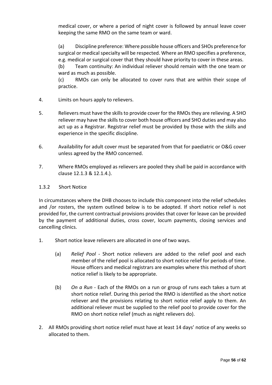medical cover, or where a period of night cover is followed by annual leave cover keeping the same RMO on the same team or ward.

(a) Discipline preference: Where possible house officers and SHOs preference for surgical or medical specialty will be respected. Where an RMO specifies a preference, e.g. medical or surgical cover that they should have priority to cover in these areas.

(b) Team continuity: An individual reliever should remain with the one team or ward as much as possible.

(c) RMOs can only be allocated to cover runs that are within their scope of practice.

- 4. Limits on hours apply to relievers.
- 5. Relievers must have the skills to provide cover for the RMOs they are relieving. A SHO reliever may have the skills to cover both house officers and SHO duties and may also act up as a Registrar. Registrar relief must be provided by those with the skills and experience in the specific discipline.
- 6. Availability for adult cover must be separated from that for paediatric or O&G cover unless agreed by the RMO concerned.
- 7. Where RMOs employed as relievers are pooled they shall be paid in accordance with clause 12.1.3 & 12.1.4.).

# 1.3.2 Short Notice

In circumstances where the DHB chooses to include this component into the relief schedules and /or rosters, the system outlined below is to be adopted. If short notice relief is not provided for, the current contractual provisions provides that cover for leave can be provided by the payment of additional duties, cross cover, locum payments, closing services and cancelling clinics.

- 1. Short notice leave relievers are allocated in one of two ways.
	- (a) *Relief Pool* Short notice relievers are added to the relief pool and each member of the relief pool is allocated to short notice relief for periods of time. House officers and medical registrars are examples where this method of short notice relief is likely to be appropriate.
	- (b) *On a Run* Each of the RMOs on a run or group of runs each takes a turn at short notice relief. During this period the RMO is identified as the short notice reliever and the provisions relating to short notice relief apply to them. An additional reliever must be supplied to the relief pool to provide cover for the RMO on short notice relief (much as night relievers do).
- 2. All RMOs providing short notice relief must have at least 14 days' notice of any weeks so allocated to them.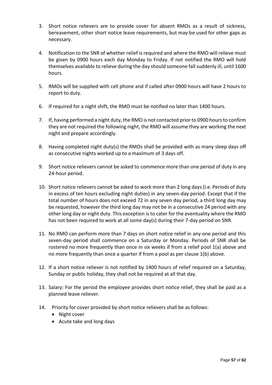- 3. Short notice relievers are to provide cover for absent RMOs as a result of sickness, bereavement, other short notice leave requirements, but may be used for other gaps as necessary.
- 4. Notification to the SNR of whether relief is required and where the RMO will relieve must be given by 0900 hours each day Monday to Friday. If not notified the RMO will hold themselves available to relieve during the day should someone fall suddenly ill, until 1600 hours.
- 5. RMOs will be supplied with cell phone and if called after 0900 hours will have 2 hours to report to duty.
- 6. If required for a night shift, the RMO must be notified no later than 1400 hours.
- 7. If, having performed a night duty, the RMO is not contacted prior to 0900 hours to confirm they are not required the following night, the RMO will assume they are working the next night and prepare accordingly.
- 8. Having completed night duty(s) the RMOs shall be provided with as many sleep days off as consecutive nights worked up to a maximum of 3 days off.
- 9. Short notice relievers cannot be asked to commence more than one period of duty in any 24-hour period.
- 10. Short notice relievers cannot be asked to work more than 2 long days (i.e. Periods of duty in excess of ten hours excluding night duties) in any seven-day period. Except that if the total number of hours does not exceed 72 in any seven day period, a third long day may be requested, however the third long day may not be in a consecutive 24 period with any other long day or night duty. This exception is to cater for the eventuality where the RMO has not been required to work at all some day(s) during their 7-day period on SNR.
- 11. No RMO can perform more than 7 days on short notice relief in any one period and this seven-day period shall commence on a Saturday or Monday. Periods of SNR shall be rostered no more frequently than once in six weeks if from a relief pool 1(a) above and no more frequently than once a quarter if from a pool as per clause 1(b) above.
- 12. If a short notice reliever is not notified by 1400 hours of relief required on a Saturday, Sunday or public holiday, they shall not be required at all that day.
- 13. Salary: For the period the employee provides short notice relief, they shall be paid as a planned leave reliever.
- 14. Priority for cover provided by short notice relievers shall be as follows:
	- Night cover
	- Acute take and long days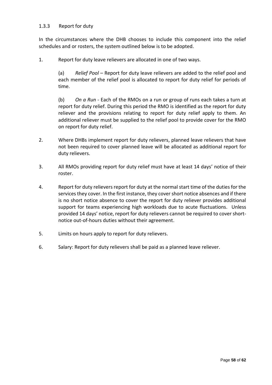### 1.3.3 Report for duty

In the circumstances where the DHB chooses to include this component into the relief schedules and or rosters, the system outlined below is to be adopted.

1. Report for duty leave relievers are allocated in one of two ways.

(a) *Relief Pool* – Report for duty leave relievers are added to the relief pool and each member of the relief pool is allocated to report for duty relief for periods of time.

(b) *On a Run* - Each of the RMOs on a run or group of runs each takes a turn at report for duty relief. During this period the RMO is identified as the report for duty reliever and the provisions relating to report for duty relief apply to them. An additional reliever must be supplied to the relief pool to provide cover for the RMO on report for duty relief.

- 2. Where DHBs implement report for duty relievers, planned leave relievers that have not been required to cover planned leave will be allocated as additional report for duty relievers.
- 3. All RMOs providing report for duty relief must have at least 14 days' notice of their roster.
- 4. Report for duty relievers report for duty at the normal start time of the duties for the services they cover. In the first instance, they cover short notice absences and if there is no short notice absence to cover the report for duty reliever provides additional support for teams experiencing high workloads due to acute fluctuations. Unless provided 14 days' notice, report for duty relievers cannot be required to cover shortnotice out-of-hours duties without their agreement.
- 5. Limits on hours apply to report for duty relievers.
- 6. Salary: Report for duty relievers shall be paid as a planned leave reliever.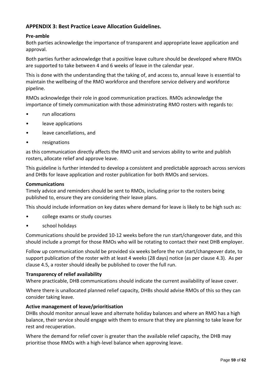# <span id="page-58-0"></span>**APPENDIX 3: Best Practice Leave Allocation Guidelines.**

### **Pre-amble**

Both parties acknowledge the importance of transparent and appropriate leave application and approval.

Both parties further acknowledge that a positive leave culture should be developed where RMOs are supported to take between 4 and 6 weeks of leave in the calendar year.

This is done with the understanding that the taking of, and access to, annual leave is essential to maintain the wellbeing of the RMO workforce and therefore service delivery and workforce pipeline.

RMOs acknowledge their role in good communication practices. RMOs acknowledge the importance of timely communication with those administrating RMO rosters with regards to:

- run allocations
- leave applications
- leave cancellations, and
- resignations

as this communication directly affects the RMO unit and services ability to write and publish rosters, allocate relief and approve leave.

This guideline is further intended to develop a consistent and predictable approach across services and DHBs for leave application and roster publication for both RMOs and services.

#### **Communications**

Timely advice and reminders should be sent to RMOs, including prior to the rosters being published to, ensure they are considering their leave plans.

This should include information on key dates where demand for leave is likely to be high such as:

- college exams or study courses
- school holidays

Communications should be provided 10-12 weeks before the run start/changeover date, and this should include a prompt for those RMOs who will be rotating to contact their next DHB employer.

Follow up communication should be provided six weeks before the run start/changeover date, to support publication of the roster with at least 4 weeks (28 days) notice (as per clause 4.3). As per clause 4.5, a roster should ideally be published to cover the full run.

#### **Transparency of relief availability**

Where practicable, DHB communications should indicate the current availability of leave cover.

Where there is unallocated planned relief capacity, DHBs should advise RMOs of this so they can consider taking leave.

#### **Active management of leave/prioritisation**

DHBs should monitor annual leave and alternate holiday balances and where an RMO has a high balance, their service should engage with them to ensure that they are planning to take leave for rest and recuperation.

Where the demand for relief cover is greater than the available relief capacity, the DHB may prioritise those RMOs with a high-level balance when approving leave.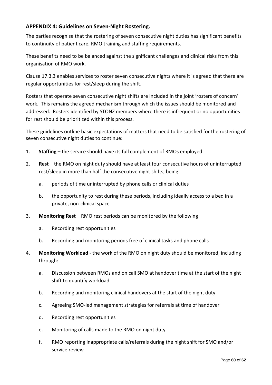# <span id="page-59-0"></span>**APPENDIX 4: Guidelines on Seven-Night Rostering.**

The parties recognise that the rostering of seven consecutive night duties has significant benefits to continuity of patient care, RMO training and staffing requirements.

These benefits need to be balanced against the significant challenges and clinical risks from this organisation of RMO work.

Clause 17.3.3 enables services to roster seven consecutive nights where it is agreed that there are regular opportunities for rest/sleep during the shift.

Rosters that operate seven consecutive night shifts are included in the joint 'rosters of concern' work. This remains the agreed mechanism through which the issues should be monitored and addressed. Rosters identified by STONZ members where there is infrequent or no opportunities for rest should be prioritized within this process.

These guidelines outline basic expectations of matters that need to be satisfied for the rostering of seven consecutive night duties to continue:

- 1. **Staffing** the service should have its full complement of RMOs employed
- 2. **Rest** the RMO on night duty should have at least four consecutive hours of uninterrupted rest/sleep in more than half the consecutive night shifts, being:
	- a. periods of time uninterrupted by phone calls or clinical duties
	- b. the opportunity to rest during these periods, including ideally access to a bed in a private, non-clinical space
- 3. **Monitoring Rest** RMO rest periods can be monitored by the following
	- a. Recording rest opportunities
	- b. Recording and monitoring periods free of clinical tasks and phone calls
- 4. **Monitoring Workload** the work of the RMO on night duty should be monitored, including through:
	- a. Discussion between RMOs and on call SMO at handover time at the start of the night shift to quantify workload
	- b. Recording and monitoring clinical handovers at the start of the night duty
	- c. Agreeing SMO-led management strategies for referrals at time of handover
	- d. Recording rest opportunities
	- e. Monitoring of calls made to the RMO on night duty
	- f. RMO reporting inappropriate calls/referrals during the night shift for SMO and/or service review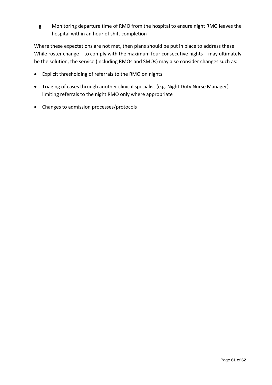g. Monitoring departure time of RMO from the hospital to ensure night RMO leaves the hospital within an hour of shift completion

Where these expectations are not met, then plans should be put in place to address these. While roster change – to comply with the maximum four consecutive nights – may ultimately be the solution, the service (including RMOs and SMOs) may also consider changes such as:

- Explicit thresholding of referrals to the RMO on nights
- Triaging of cases through another clinical specialist (e.g. Night Duty Nurse Manager) limiting referrals to the night RMO only where appropriate
- Changes to admission processes/protocols